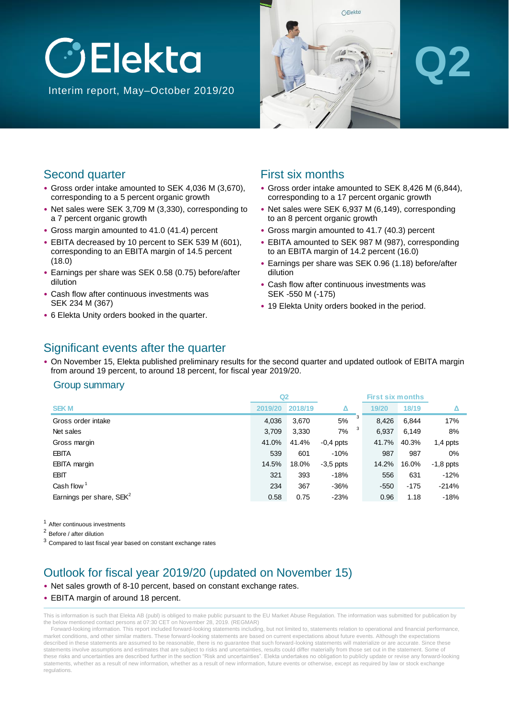



# **Q2**

### Second quarter

- Gross order intake amounted to SEK 4,036 M (3,670), corresponding to a 5 percent organic growth
- Net sales were SEK 3,709 M (3,330), corresponding to a 7 percent organic growth
- Gross margin amounted to 41.0 (41.4) percent
- EBITA decreased by 10 percent to SEK 539 M (601), corresponding to an EBITA margin of 14.5 percent (18.0)
- Earnings per share was SEK 0.58 (0.75) before/after dilution
- Cash flow after continuous investments was SEK 234 M (367)
- 6 Elekta Unity orders booked in the quarter.

### First six months

- Gross order intake amounted to SEK 8,426 M (6,844), corresponding to a 17 percent organic growth
- Net sales were SEK 6,937 M (6,149), corresponding to an 8 percent organic growth
- Gross margin amounted to 41.7 (40.3) percent
- EBITA amounted to SEK 987 M (987), corresponding to an EBITA margin of 14.2 percent (16.0)
- Earnings per share was SEK 0.96 (1.18) before/after dilution
- Cash flow after continuous investments was SEK -550 M (-175)
- 19 Elekta Unity orders booked in the period.

### Significant events after the quarter

• On November 15, Elekta published preliminary results for the second quarter and updated outlook of EBITA margin from around 19 percent, to around 18 percent, for fiscal year 2019/20.

#### Group summary

|                                      | Q2      |         |             | <b>First six months</b> |        |             |
|--------------------------------------|---------|---------|-------------|-------------------------|--------|-------------|
| <b>SEKM</b>                          | 2019/20 | 2018/19 |             | 19/20                   | 18/19  |             |
| Gross order intake                   | 4,036   | 3,670   | 3<br>5%     | 8,426                   | 6,844  | 17%         |
| Net sales                            | 3,709   | 3,330   | 3<br>7%     | 6,937                   | 6,149  | 8%          |
| Gross margin                         | 41.0%   | 41.4%   | $-0.4$ ppts | 41.7%                   | 40.3%  | $1,4$ ppts  |
| <b>EBITA</b>                         | 539     | 601     | $-10%$      | 987                     | 987    | 0%          |
| <b>EBITA</b> margin                  | 14.5%   | 18.0%   | $-3,5$ ppts | 14.2%                   | 16.0%  | $-1,8$ ppts |
| EBIT                                 | 321     | 393     | $-18%$      | 556                     | 631    | $-12%$      |
| Cash flow $1$                        | 234     | 367     | $-36%$      | $-550$                  | $-175$ | $-214%$     |
| Earnings per share, SEK <sup>2</sup> | 0.58    | 0.75    | $-23%$      | 0.96                    | 1.18   | $-18%$      |

<sup>1</sup> After continuous investments

<sup>2</sup> Before / after dilution

 $3$  Compared to last fiscal year based on constant exchange rates

### Outlook for fiscal year 2019/20 (updated on November 15)

- Net sales growth of 8-10 percent, based on constant exchange rates.
- EBITA margin of around 18 percent.

This is information is such that Elekta AB (publ) is obliged to make public pursuant to the EU Market Abuse Regulation. The information was submitted for publication by the below mentioned contact persons at 07:30 CET on November 28, 2019. (REGMAR)

Forward-looking information. This report included forward-looking statements including, but not limited to, statements relation to operational and financial performance, market conditions, and other similar matters. These forward-looking statements are based on current expectations about future events. Although the expectations described in these statements are assumed to be reasonable, there is no guarantee that such forward-looking statements will materialize or are accurate. Since these statements involve assumptions and estimates that are subject to risks and uncertainties, results could differ materially from those set out in the statement. Some of these risks and uncertainties are described further in the section "Risk and uncertainties". Elekta undertakes no obligation to publicly update or revise any forward-looking statements, whether as a result of new information, whether as a result of new information, future events or otherwise, except as required by law or stock exchange regulations.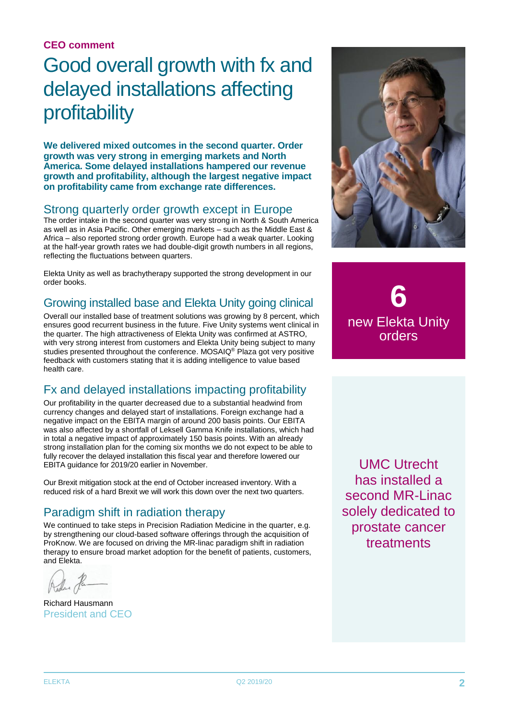### **CEO comment**

### Good overall growth with fx and delayed installations affecting profitability

**We delivered mixed outcomes in the second quarter. Order growth was very strong in emerging markets and North America. Some delayed installations hampered our revenue growth and profitability, although the largest negative impact on profitability came from exchange rate differences.**

### Strong quarterly order growth except in Europe

The order intake in the second quarter was very strong in North & South America as well as in Asia Pacific. Other emerging markets – such as the Middle East & Africa – also reported strong order growth. Europe had a weak quarter. Looking at the half-year growth rates we had double-digit growth numbers in all regions, reflecting the fluctuations between quarters.

Elekta Unity as well as brachytherapy supported the strong development in our order books.

### Growing installed base and Elekta Unity going clinical

Overall our installed base of treatment solutions was growing by 8 percent, which ensures good recurrent business in the future. Five Unity systems went clinical in the quarter. The high attractiveness of Elekta Unity was confirmed at ASTRO, with very strong interest from customers and Elekta Unity being subject to many studies presented throughout the conference. MOSAIQ® Plaza got very positive feedback with customers stating that it is adding intelligence to value based health care.

### Fx and delayed installations impacting profitability

Our profitability in the quarter decreased due to a substantial headwind from currency changes and delayed start of installations. Foreign exchange had a negative impact on the EBITA margin of around 200 basis points. Our EBITA was also affected by a shortfall of Leksell Gamma Knife installations, which had in total a negative impact of approximately 150 basis points. With an already strong installation plan for the coming six months we do not expect to be able to fully recover the delayed installation this fiscal year and therefore lowered our EBITA guidance for 2019/20 earlier in November.

Our Brexit mitigation stock at the end of October increased inventory. With a reduced risk of a hard Brexit we will work this down over the next two quarters.

### Paradigm shift in radiation therapy

We continued to take steps in Precision Radiation Medicine in the quarter, e.g. by strengthening our cloud-based software offerings through the acquisition of ProKnow. We are focused on driving the MR-linac paradigm shift in radiation therapy to ensure broad market adoption for the benefit of patients, customers, and Elekta.

Richard Hausmann President and CEO



**6** new Elekta Unity orders

UMC Utrecht has installed a second MR-Linac solely dedicated to prostate cancer treatments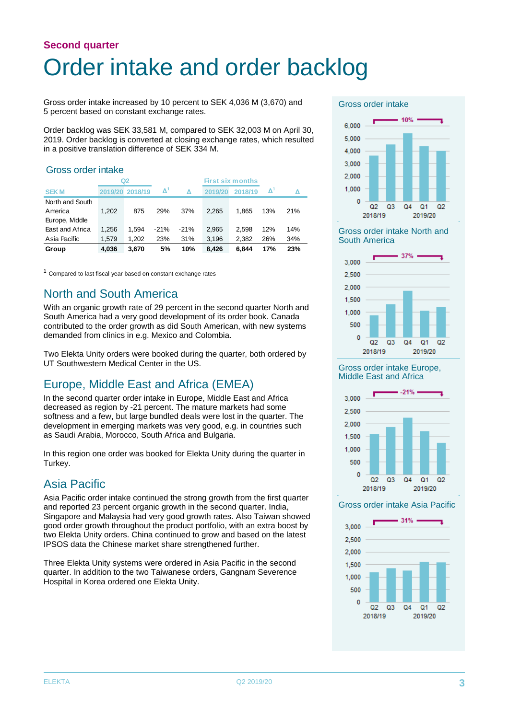### **Second quarter** Order intake and order backlog

Gross order intake increased by 10 percent to SEK 4,036 M (3,670) and 5 percent based on constant exchange rates.

Order backlog was SEK 33,581 M, compared to SEK 32,003 M on April 30, 2019. Order backlog is converted at closing exchange rates, which resulted in a positive translation difference of SEK 334 M.

#### Gross order intake

|                 |         | Q <sub>2</sub> |        |        | <b>First six months</b> |         |     |     |
|-----------------|---------|----------------|--------|--------|-------------------------|---------|-----|-----|
| <b>SEK M</b>    | 2019/20 | 2018/19        | Δ      | Δ      | 2019/20                 | 2018/19 | Δ   |     |
| North and South |         |                |        |        |                         |         |     |     |
| America         | 1.202   | 875            | 29%    | 37%    | 2.265                   | 1.865   | 13% | 21% |
| Europe, Middle  |         |                |        |        |                         |         |     |     |
| East and Africa | 1.256   | 1.594          | $-21%$ | $-21%$ | 2.965                   | 2.598   | 12% | 14% |
| Asia Pacific    | 1.579   | 1.202          | 23%    | 31%    | 3,196                   | 2.382   | 26% | 34% |
| Group           | 4.036   | 3.670          | 5%     | 10%    | 8.426                   | 6.844   | 17% | 23% |

 $1$  Compared to last fiscal year based on constant exchange rates

### North and South America

With an organic growth rate of 29 percent in the second quarter North and South America had a very good development of its order book. Canada contributed to the order growth as did South American, with new systems demanded from clinics in e.g. Mexico and Colombia.

Two Elekta Unity orders were booked during the quarter, both ordered by UT Southwestern Medical Center in the US.

### Europe, Middle East and Africa (EMEA)

In the second quarter order intake in Europe, Middle East and Africa decreased as region by -21 percent. The mature markets had some softness and a few, but large bundled deals were lost in the quarter. The development in emerging markets was very good, e.g. in countries such as Saudi Arabia, Morocco, South Africa and Bulgaria.

In this region one order was booked for Elekta Unity during the quarter in Turkey.

### Asia Pacific

Asia Pacific order intake continued the strong growth from the first quarter and reported 23 percent organic growth in the second quarter. India, Singapore and Malaysia had very good growth rates. Also Taiwan showed good order growth throughout the product portfolio, with an extra boost by two Elekta Unity orders. China continued to grow and based on the latest IPSOS data the Chinese market share strengthened further.

Three Elekta Unity systems were ordered in Asia Pacific in the second quarter. In addition to the two Taiwanese orders, Gangnam Severence Hospital in Korea ordered one Elekta Unity.

#### Gross order intake



Gross order intake North and South America



#### Gross order intake Europe, Middle East and Africa



#### Gross order intake Asia Pacific

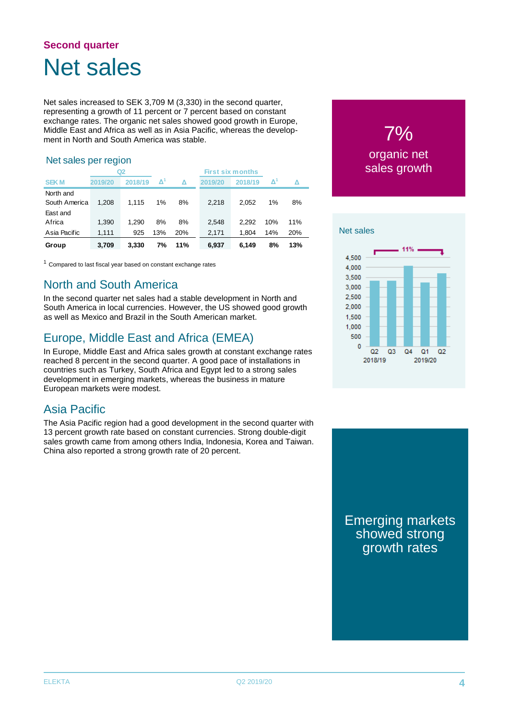### **Second quarter** Net sales

Net sales increased to SEK 3,709 M (3,330) in the second quarter, representing a growth of 11 percent or 7 percent based on constant exchange rates. The organic net sales showed good growth in Europe, Middle East and Africa as well as in Asia Pacific, whereas the development in North and South America was stable.

#### Net sales per region

|                            | Q2      |         |                     |            |         |         |     |     |
|----------------------------|---------|---------|---------------------|------------|---------|---------|-----|-----|
| <b>SEKM</b>                | 2019/20 | 2018/19 | $\mathbf{\Delta}^n$ | Δ          | 2019/20 | 2018/19 | Δ   |     |
| North and<br>South America | 1.208   | 1.115   | 1%                  | 8%         | 2,218   | 2.052   | 1%  | 8%  |
| East and<br>Africa         | 1,390   | 1.290   | 8%                  | 8%         | 2,548   | 2.292   | 10% | 11% |
| Asia Pacific               | 1,111   | 925     | 13%                 | <b>20%</b> | 2.171   | 1.804   | 14% | 20% |
| Group                      | 3.709   | 3.330   | 7%                  | 11%        | 6.937   | 6.149   | 8%  | 13% |

 $1$  Compared to last fiscal year based on constant exchange rates

### North and South America

In the second quarter net sales had a stable development in North and South America in local currencies. However, the US showed good growth as well as Mexico and Brazil in the South American market.

### Europe, Middle East and Africa (EMEA)

In Europe, Middle East and Africa sales growth at constant exchange rates reached 8 percent in the second quarter. A good pace of installations in countries such as Turkey, South Africa and Egypt led to a strong sales development in emerging markets, whereas the business in mature European markets were modest.

### Asia Pacific

The Asia Pacific region had a good development in the second quarter with 13 percent growth rate based on constant currencies. Strong double-digit sales growth came from among others India, Indonesia, Korea and Taiwan. China also reported a strong growth rate of 20 percent.





Emerging markets showed strong growth rates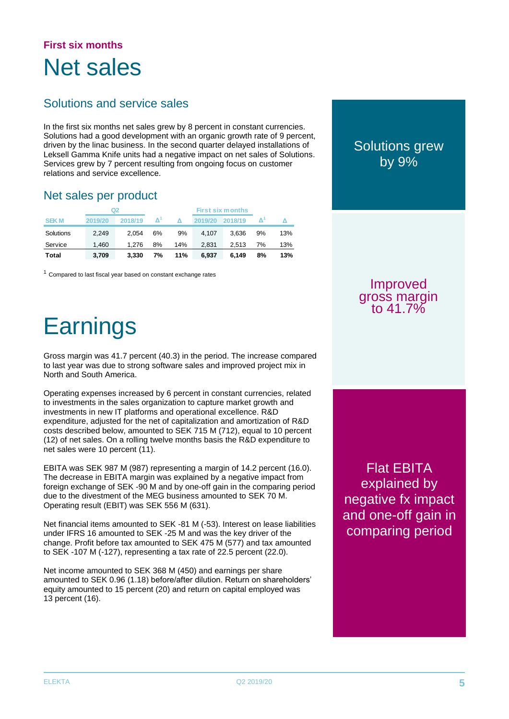### **First six months** Net sales

### Solutions and service sales

In the first six months net sales grew by 8 percent in constant currencies. Solutions had a good development with an organic growth rate of 9 percent, driven by the linac business. In the second quarter delayed installations of Leksell Gamma Knife units had a negative impact on net sales of Solutions. Services grew by 7 percent resulting from ongoing focus on customer relations and service excellence.

### Net sales per product

| Q2          |         |         |                     | <b>First six months</b> |         |         |    |     |
|-------------|---------|---------|---------------------|-------------------------|---------|---------|----|-----|
| <b>SEKM</b> | 2019/20 | 2018/19 | $\mathbf{\Delta}^1$ | Λ                       | 2019/20 | 2018/19 |    |     |
| Solutions   | 2.249   | 2.054   | 6%                  | 9%                      | 4.107   | 3.636   | 9% | 13% |
| Service     | 1.460   | 1.276   | 8%                  | 14%                     | 2.831   | 2.513   | 7% | 13% |
| Total       | 3.709   | 3.330   | 7%                  | 11%                     | 6.937   | 6.149   | 8% | 13% |

 $1$  Compared to last fiscal year based on constant exchange rates

## **Earnings**

Gross margin was 41.7 percent (40.3) in the period. The increase compared to last year was due to strong software sales and improved project mix in North and South America.

Operating expenses increased by 6 percent in constant currencies, related to investments in the sales organization to capture market growth and investments in new IT platforms and operational excellence. R&D expenditure, adjusted for the net of capitalization and amortization of R&D costs described below, amounted to SEK 715 M (712), equal to 10 percent (12) of net sales. On a rolling twelve months basis the R&D expenditure to net sales were 10 percent (11).

EBITA was SEK 987 M (987) representing a margin of 14.2 percent (16.0). The decrease in EBITA margin was explained by a negative impact from foreign exchange of SEK -90 M and by one-off gain in the comparing period due to the divestment of the MEG business amounted to SEK 70 M. Operating result (EBIT) was SEK 556 M (631).

Net financial items amounted to SEK -81 M (-53). Interest on lease liabilities under IFRS 16 amounted to SEK -25 M and was the key driver of the change. Profit before tax amounted to SEK 475 M (577) and tax amounted to SEK -107 M (-127), representing a tax rate of 22.5 percent (22.0).

Net income amounted to SEK 368 M (450) and earnings per share amounted to SEK 0.96 (1.18) before/after dilution. Return on shareholders' equity amounted to 15 percent (20) and return on capital employed was 13 percent (16).

Solutions grew by 9%

Improved gross margin to 41.7%

Flat EBITA explained by negative fx impact and one-off gain in comparing period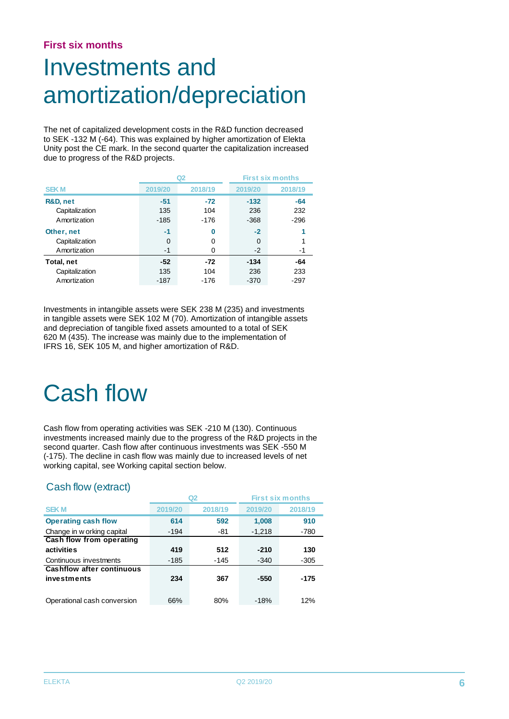### **First six months**

## Investments and amortization/depreciation

The net of capitalized development costs in the R&D function decreased to SEK -132 M (-64). This was explained by higher amortization of Elekta Unity post the CE mark. In the second quarter the capitalization increased due to progress of the R&D projects.

|                |          | Q2      |         | <b>First six months</b> |
|----------------|----------|---------|---------|-------------------------|
| <b>SEKM</b>    | 2019/20  | 2018/19 | 2019/20 | 2018/19                 |
| R&D, net       | $-51$    | $-72$   | $-132$  | $-64$                   |
| Capitalization | 135      | 104     | 236     | 232                     |
| Amortization   | -185     | $-176$  | $-368$  | $-296$                  |
| Other, net     | $-1$     | 0       | $-2$    |                         |
| Capitalization | $\Omega$ | 0       | 0       |                         |
| Amortization   | $-1$     | 0       | $-2$    | -1                      |
| Total, net     | $-52$    | $-72$   | $-134$  | -64                     |
| Capitalization | 135      | 104     | 236     | 233                     |
| Amortization   | -187     | $-176$  | $-370$  | $-297$                  |

Investments in intangible assets were SEK 238 M (235) and investments in tangible assets were SEK 102 M (70). Amortization of intangible assets and depreciation of tangible fixed assets amounted to a total of SEK 620 M (435). The increase was mainly due to the implementation of IFRS 16, SEK 105 M, and higher amortization of R&D.

## Cash flow

Cash flow from operating activities was SEK -210 M (130). Continuous investments increased mainly due to the progress of the R&D projects in the second quarter. Cash flow after continuous investments was SEK -550 M (-175). The decline in cash flow was mainly due to increased levels of net working capital, see Working capital section below.

### Cash flow (extract)

|                                  |         | Q2      | <b>First six months</b> |         |  |
|----------------------------------|---------|---------|-------------------------|---------|--|
| <b>SEKM</b>                      | 2019/20 | 2018/19 | 2019/20                 | 2018/19 |  |
| <b>Operating cash flow</b>       | 614     | 592     | 1,008                   | 910     |  |
| Change in w orking capital       | -194    | -81     | $-1,218$                | -780    |  |
| Cash flow from operating         |         |         |                         |         |  |
| activities                       | 419     | 512     | $-210$                  | 130     |  |
| Continuous investments           | $-185$  | -145    | $-340$                  | $-305$  |  |
| <b>Cashflow after continuous</b> |         |         |                         |         |  |
| investments                      | 234     | 367     | $-550$                  | -175    |  |
|                                  |         |         |                         |         |  |
| Operational cash conversion      | 66%     | 80%     | $-18%$                  | 12%     |  |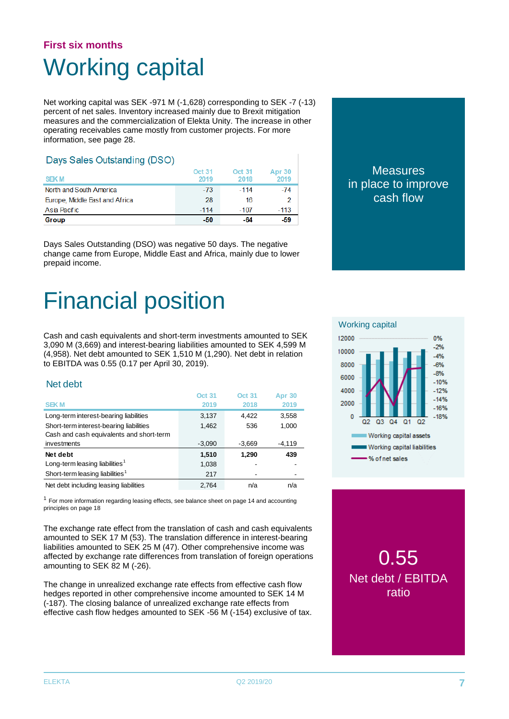### **First six months** Working capital

Net working capital was SEK -971 M (-1,628) corresponding to SEK -7 (-13) percent of net sales. Inventory increased mainly due to Brexit mitigation measures and the commercialization of Elekta Unity. The increase in other operating receivables came mostly from customer projects. For more information, see page 28.

#### Days Sales Outstanding (DSO)

| <b>SEKM</b>                    | <b>Oct 31</b><br>2019 | Oct 31<br>2018 | Apr 30<br>2019 |
|--------------------------------|-----------------------|----------------|----------------|
| North and South America        | $-73$                 | $-114$         | $-74$          |
| Europe, Middle East and Africa | 28                    | 16             |                |
| Asia Pacific                   | $-114$                | $-107$         | $-113$         |
| Group                          | -50                   | -64            | -59            |

Days Sales Outstanding (DSO) was negative 50 days. The negative change came from Europe, Middle East and Africa, mainly due to lower prepaid income.

## Financial position

Cash and cash equivalents and short-term investments amounted to SEK 3,090 M (3,669) and interest-bearing liabilities amounted to SEK 4,599 M (4,958). Net debt amounted to SEK 1,510 M (1,290). Net debt in relation to EBITDA was 0.55 (0.17 per April 30, 2019).

#### Net debt

|                                             | <b>Oct 31</b> | <b>Oct 31</b> | <b>Apr 30</b> |
|---------------------------------------------|---------------|---------------|---------------|
| <b>SEKM</b>                                 | 2019          | 2018          | 2019          |
| Long-term interest-bearing liabilities      | 3,137         | 4,422         | 3,558         |
| Short-term interest-bearing liabilities     | 1,462         | 536           | 1,000         |
| Cash and cash equivalents and short-term    |               |               |               |
| investments                                 | $-3,090$      | $-3,669$      | $-4,119$      |
| Net debt                                    | 1,510         | 1,290         | 439           |
| Long-term leasing liabilities <sup>1</sup>  | 1,038         |               |               |
| Short-term leasing liabilities <sup>1</sup> | 217           |               |               |
| Net debt including leasing liabilities      | 2.764         | n/a           | n/a           |

 $1$  For more information regarding leasing effects, see balance sheet on page 14 and accounting principles on page 18

The exchange rate effect from the translation of cash and cash equivalents amounted to SEK 17 M (53). The translation difference in interest-bearing liabilities amounted to SEK 25 M (47). Other comprehensive income was affected by exchange rate differences from translation of foreign operations amounting to SEK 82 M (-26).

The change in unrealized exchange rate effects from effective cash flow hedges reported in other comprehensive income amounted to SEK 14 M (-187). The closing balance of unrealized exchange rate effects from effective cash flow hedges amounted to SEK -56 M (-154) exclusive of tax.





### 0.55 Net debt / EBITDA ratio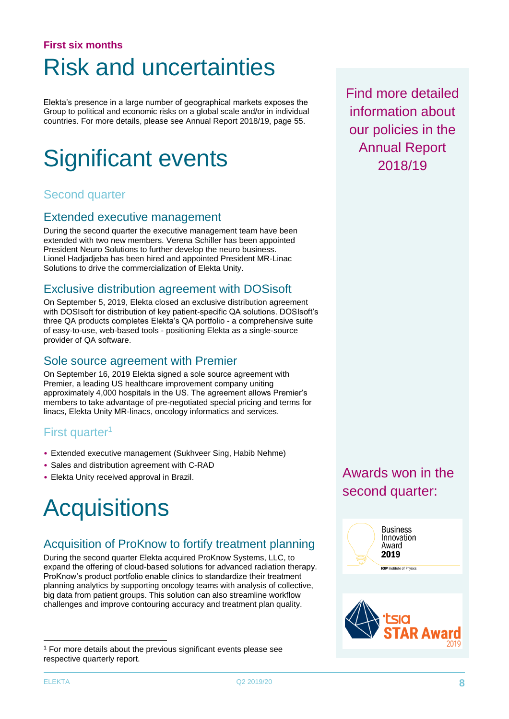### **First six months** Risk and uncertainties

Elekta's presence in a large number of geographical markets exposes the Group to political and economic risks on a global scale and/or in individual countries. For more details, please see Annual Report 2018/19, page 55.

## Significant events

### Second quarter

### Extended executive management

During the second quarter the executive management team have been extended with two new members. Verena Schiller has been appointed President Neuro Solutions to further develop the neuro business. Lionel Hadjadjeba has been hired and appointed President MR-Linac Solutions to drive the commercialization of Elekta Unity.

### Exclusive distribution agreement with DOSisoft

On September 5, 2019, Elekta closed an exclusive distribution agreement with DOSIsoft for distribution of key patient-specific QA solutions. DOSIsoft's three QA products completes Elekta's QA portfolio - a comprehensive suite of easy-to-use, web-based tools - positioning Elekta as a single-source provider of QA software.

### Sole source agreement with Premier

On September 16, 2019 Elekta signed a sole source agreement with Premier, a leading US healthcare improvement company uniting approximately 4,000 hospitals in the US. The agreement allows Premier's members to take advantage of pre-negotiated special pricing and terms for linacs, Elekta Unity MR-linacs, oncology informatics and services.

### First quarter<sup>1</sup>

- Extended executive management (Sukhveer Sing, Habib Nehme)
- Sales and distribution agreement with C-RAD
- Elekta Unity received approval in Brazil.

## **Acquisitions**

### Acquisition of ProKnow to fortify treatment planning

During the second quarter Elekta acquired ProKnow Systems, LLC, to expand the offering of cloud-based solutions for advanced radiation therapy. ProKnow's product portfolio enable clinics to standardize their treatment planning analytics by supporting oncology teams with analysis of collective, big data from patient groups. This solution can also streamline workflow challenges and improve contouring accuracy and treatment plan quality.

Find more detailed information about our policies in the Annual Report 2018/19

Awards won in the second quarter:





-

 $1$  For more details about the previous significant events please see respective quarterly report.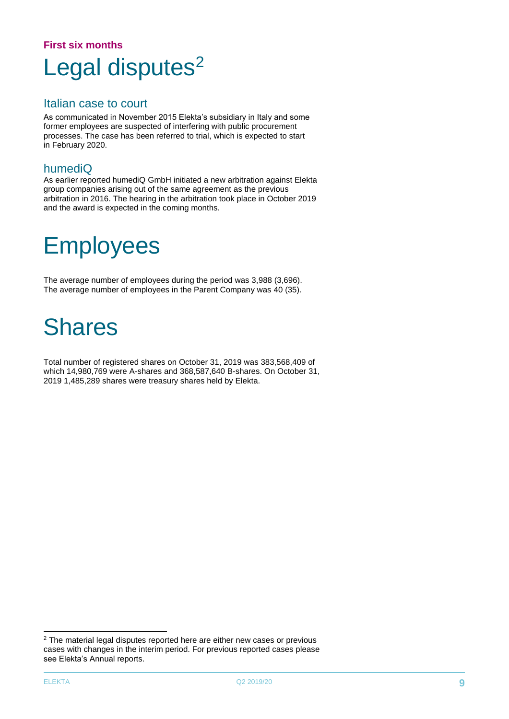### **First six months** Legal disputes<sup>2</sup>

### Italian case to court

As communicated in November 2015 Elekta's subsidiary in Italy and some former employees are suspected of interfering with public procurement processes. The case has been referred to trial, which is expected to start in February 2020.

### humediQ

As earlier reported humediQ GmbH initiated a new arbitration against Elekta group companies arising out of the same agreement as the previous arbitration in 2016. The hearing in the arbitration took place in October 2019 and the award is expected in the coming months.

### **Employees**

The average number of employees during the period was 3,988 (3,696). The average number of employees in the Parent Company was 40 (35).

### **Shares**

Total number of registered shares on October 31, 2019 was 383,568,409 of which 14,980,769 were A-shares and 368,587,640 B-shares. On October 31, 2019 1,485,289 shares were treasury shares held by Elekta.

-

<sup>&</sup>lt;sup>2</sup> The material legal disputes reported here are either new cases or previous cases with changes in the interim period. For previous reported cases please see Elekta's Annual reports.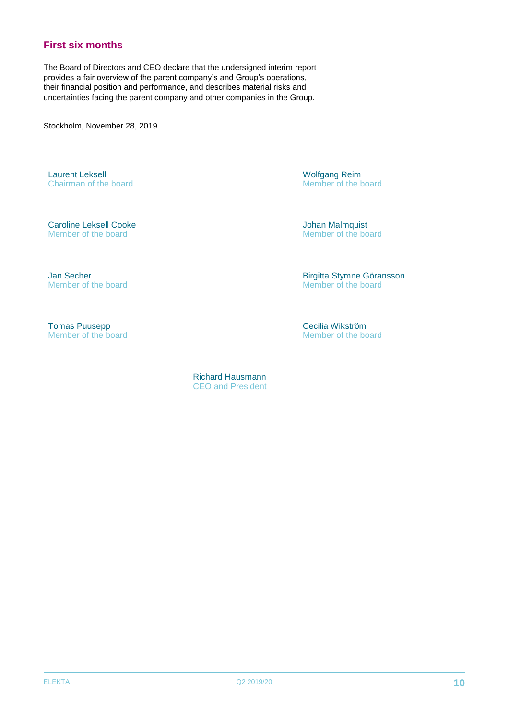### **First six months**

The Board of Directors and CEO declare that the undersigned interim report provides a fair overview of the parent company's and Group's operations, their financial position and performance, and describes material risks and uncertainties facing the parent company and other companies in the Group.

Stockholm, November 28, 2019

Laurent Leksell Chairman of the board Wolfgang Reim Member of the board

Caroline Leksell Cooke Member of the board

Johan Malmquist Member of the board

Jan Secher Member of the board

Birgitta Stymne Göransson Member of the board

Tomas Puusepp Member of the board Cecilia Wikström Member of the board

 Richard Hausmann CEO and President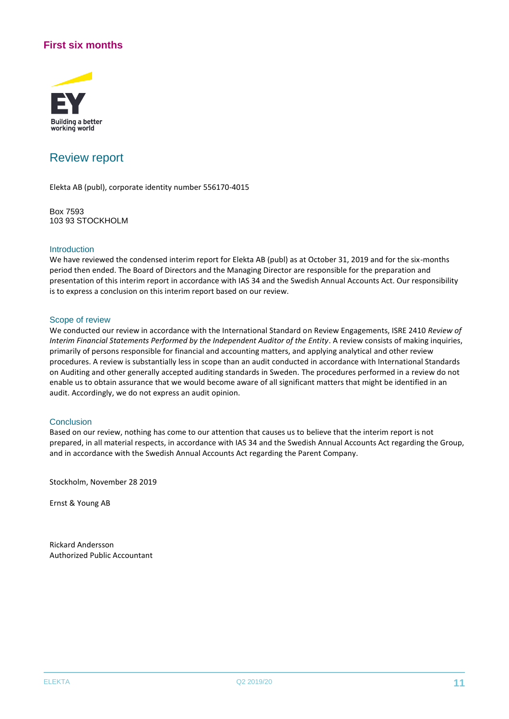### **First six months**



### Review report

Elekta AB (publ), corporate identity number 556170-4015

Box 7593 103 93 STOCKHOLM

#### Introduction

We have reviewed the condensed interim report for Elekta AB (publ) as at October 31, 2019 and for the six-months period then ended. The Board of Directors and the Managing Director are responsible for the preparation and presentation of this interim report in accordance with IAS 34 and the Swedish Annual Accounts Act. Our responsibility is to express a conclusion on this interim report based on our review.

#### Scope of review

We conducted our review in accordance with the International Standard on Review Engagements, ISRE 2410 *Review of Interim Financial Statements Performed by the Independent Auditor of the Entity*. A review consists of making inquiries, primarily of persons responsible for financial and accounting matters, and applying analytical and other review procedures. A review is substantially less in scope than an audit conducted in accordance with International Standards on Auditing and other generally accepted auditing standards in Sweden. The procedures performed in a review do not enable us to obtain assurance that we would become aware of all significant matters that might be identified in an audit. Accordingly, we do not express an audit opinion.

#### **Conclusion**

Based on our review, nothing has come to our attention that causes us to believe that the interim report is not prepared, in all material respects, in accordance with IAS 34 and the Swedish Annual Accounts Act regarding the Group, and in accordance with the Swedish Annual Accounts Act regarding the Parent Company.

Stockholm, November 28 2019

Ernst & Young AB

Rickard Andersson Authorized Public Accountant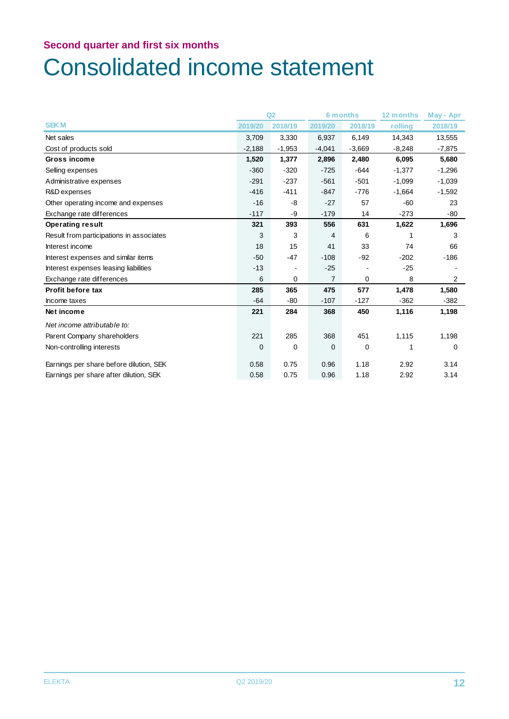## Consolidated income statement

|                                          | Q2       |          | <b>6 months</b> |          | 12 months | May - Apr      |
|------------------------------------------|----------|----------|-----------------|----------|-----------|----------------|
| <b>SEKM</b>                              | 2019/20  | 2018/19  | 2019/20         | 2018/19  | rolling   | 2018/19        |
| Net sales                                | 3,709    | 3,330    | 6,937           | 6,149    | 14,343    | 13,555         |
| Cost of products sold                    | $-2,188$ | $-1,953$ | $-4,041$        | $-3,669$ | $-8,248$  | $-7,875$       |
| Gross income                             | 1,520    | 1,377    | 2,896           | 2,480    | 6,095     | 5,680          |
| Selling expenses                         | $-360$   | $-320$   | $-725$          | -644     | $-1,377$  | $-1,296$       |
| Administrative expenses                  | $-291$   | $-237$   | $-561$          | $-501$   | $-1,099$  | $-1,039$       |
| R&D expenses                             | $-416$   | $-411$   | $-847$          | $-776$   | $-1,664$  | $-1,592$       |
| Other operating income and expenses      | $-16$    | -8       | $-27$           | 57       | $-60$     | 23             |
| Exchange rate differences                | $-117$   | -9       | $-179$          | 14       | $-273$    | $-80$          |
| <b>Operating result</b>                  | 321      | 393      | 556             | 631      | 1,622     | 1,696          |
| Result from participations in associates | 3        | 3        | 4               | 6        |           | 3              |
| Interest income                          | 18       | 15       | 41              | 33       | 74        | 66             |
| Interest expenses and similar items      | $-50$    | $-47$    | $-108$          | $-92$    | $-202$    | $-186$         |
| Interest expenses leasing liabilities    | $-13$    |          | $-25$           |          | $-25$     |                |
| Exchange rate differences                | 6        | 0        | $\overline{7}$  | 0        | 8         | $\overline{2}$ |
| <b>Profit before tax</b>                 | 285      | 365      | 475             | 577      | 1,478     | 1,580          |
| Income taxes                             | $-64$    | $-80$    | $-107$          | $-127$   | $-362$    | $-382$         |
| Net income                               | 221      | 284      | 368             | 450      | 1,116     | 1,198          |
| Net income attributable to:              |          |          |                 |          |           |                |
| Parent Company shareholders              | 221      | 285      | 368             | 451      | 1,115     | 1,198          |
| Non-controlling interests                | 0        | 0        | $\mathbf 0$     | 0        |           | 0              |
| Earnings per share before dilution, SEK  | 0.58     | 0.75     | 0.96            | 1.18     | 2.92      | 3.14           |
| Earnings per share after dilution, SEK   | 0.58     | 0.75     | 0.96            | 1.18     | 2.92      | 3.14           |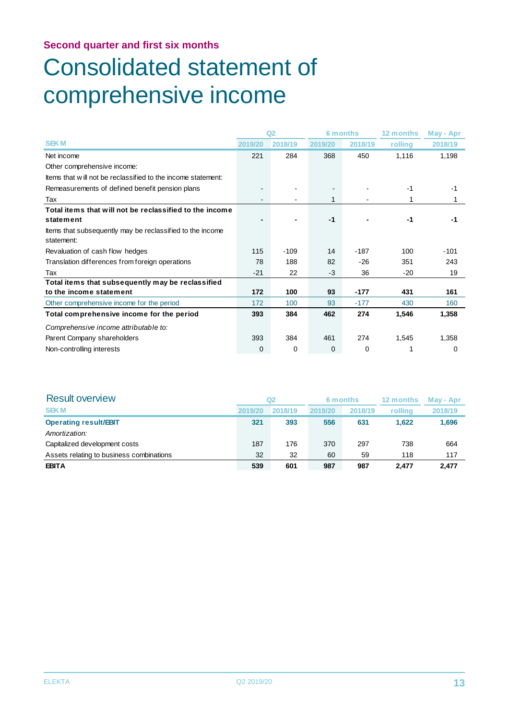## Consolidated statement of comprehensive income

|                                                              |          | Q <sub>2</sub> |         | 6 months |         | May - Apr |  |
|--------------------------------------------------------------|----------|----------------|---------|----------|---------|-----------|--|
| <b>SEK M</b>                                                 | 2019/20  | 2018/19        | 2019/20 | 2018/19  | rolling | 2018/19   |  |
| Net income                                                   | 221      | 284            | 368     | 450      | 1,116   | 1,198     |  |
| Other comprehensive income:                                  |          |                |         |          |         |           |  |
| ttems that will not be reclassified to the income statement: |          |                |         |          |         |           |  |
| Remeasurements of defined benefit pension plans              |          |                |         |          | $-1$    | $-1$      |  |
| Tax                                                          |          |                |         |          | 1       |           |  |
| Total items that will not be reclassified to the income      |          |                |         |          |         |           |  |
| statement                                                    |          |                | $-1$    |          | -1      | -1        |  |
| Items that subsequently may be reclassified to the income    |          |                |         |          |         |           |  |
| statement:                                                   |          |                |         |          |         |           |  |
| Revaluation of cash flow hedges                              | 115      | $-109$         | 14      | $-187$   | 100     | $-101$    |  |
| Translation differences from foreign operations              | 78       | 188            | 82      | $-26$    | 351     | 243       |  |
| Tax                                                          | $-21$    | 22             | $-3$    | 36       | $-20$   | 19        |  |
| Total items that subsequently may be reclassified            |          |                |         |          |         |           |  |
| to the income statement                                      | 172      | 100            | 93      | -177     | 431     | 161       |  |
| Other comprehensive income for the period                    | 172      | 100            | 93      | $-177$   | 430     | 160       |  |
| Total comprehensive income for the period                    | 393      | 384            | 462     | 274      | 1,546   | 1,358     |  |
| Comprehensive income attributable to:                        |          |                |         |          |         |           |  |
| Parent Company shareholders                                  | 393      | 384            | 461     | 274      | 1,545   | 1,358     |  |
| Non-controlling interests                                    | $\Omega$ | 0              | 0       | 0        |         | 0         |  |

| <b>Result overview</b>                   | Q2<br>6 months |         | 12 months | May - Apr |         |         |
|------------------------------------------|----------------|---------|-----------|-----------|---------|---------|
| <b>SEKM</b>                              | 2019/20        | 2018/19 | 2019/20   | 2018/19   | rollina | 2018/19 |
| <b>Operating result/EBIT</b>             | 321            | 393     | 556       | 631       | 1.622   | 1,696   |
| Amortization:                            |                |         |           |           |         |         |
| Capitalized development costs            | 187            | 176     | 370       | 297       | 738     | 664     |
| Assets relating to business combinations | 32             | 32      | 60        | 59        | 118     | 117     |
| <b>EBITA</b>                             | 539            | 601     | 987       | 987       | 2.477   | 2.477   |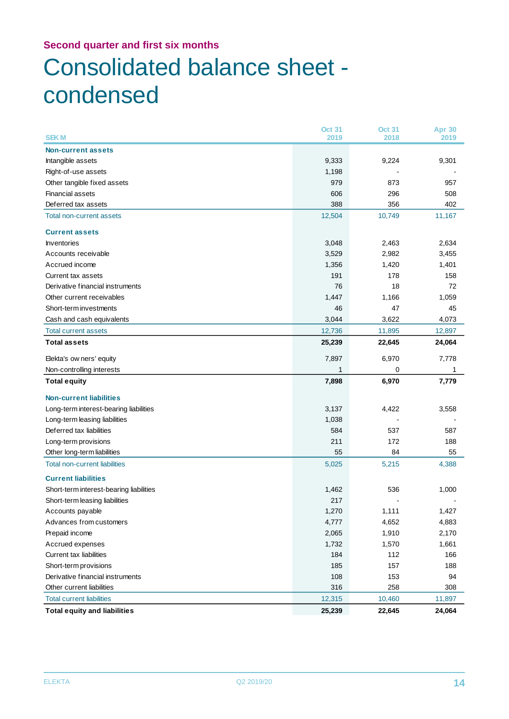## Consolidated balance sheet condensed

| <b>SEKM</b>                             | <b>Oct 31</b><br>2019 | <b>Oct 31</b><br>2018 | <b>Apr 30</b><br>2019 |
|-----------------------------------------|-----------------------|-----------------------|-----------------------|
| <b>Non-current assets</b>               |                       |                       |                       |
| Intangible assets                       | 9,333                 | 9,224                 | 9,301                 |
| Right-of-use assets                     | 1,198                 |                       |                       |
| Other tangible fixed assets             | 979                   | 873                   | 957                   |
| <b>Financial assets</b>                 | 606                   | 296                   | 508                   |
| Deferred tax assets                     | 388                   | 356                   | 402                   |
| Total non-current assets                | 12,504                | 10,749                | 11,167                |
|                                         |                       |                       |                       |
| <b>Current assets</b>                   |                       |                       |                       |
| <b>Inventories</b>                      | 3,048                 | 2,463                 | 2,634                 |
| Accounts receivable                     | 3,529                 | 2,982                 | 3,455                 |
| Accrued income                          | 1,356                 | 1,420                 | 1,401                 |
| Current tax assets                      | 191                   | 178                   | 158                   |
| Derivative financial instruments        | 76                    | 18                    | 72                    |
| Other current receivables               | 1,447                 | 1,166                 | 1,059                 |
| Short-term investments                  | 46                    | 47                    | 45                    |
| Cash and cash equivalents               | 3,044                 | 3,622                 | 4,073                 |
| <b>Total current assets</b>             | 12,736                | 11,895                | 12,897                |
| <b>Total assets</b>                     | 25,239                | 22,645                | 24,064                |
| Elekta's ow ners' equity                | 7,897                 | 6,970                 | 7,778                 |
| Non-controlling interests               | 1                     | 0                     | 1                     |
| <b>Total equity</b>                     | 7,898                 | 6,970                 | 7,779                 |
| <b>Non-current liabilities</b>          |                       |                       |                       |
| Long-term interest-bearing liabilities  | 3,137                 | 4,422                 | 3,558                 |
| Long-term leasing liabilities           | 1,038                 |                       |                       |
| Deferred tax liabilities                | 584                   | 537                   | 587                   |
| Long-term provisions                    | 211                   | 172                   | 188                   |
| Other long-term liabilities             | 55                    | 84                    | 55                    |
| <b>Total non-current liabilities</b>    | 5,025                 | 5,215                 | 4,388                 |
| <b>Current liabilities</b>              |                       |                       |                       |
| Short-term interest-bearing liabilities | 1,462                 | 536                   | 1,000                 |
| Short-term leasing liabilities          | 217                   |                       |                       |
| Accounts payable                        | 1,270                 | 1,111                 | 1,427                 |
| Advances from customers                 | 4,777                 | 4,652                 | 4,883                 |
| Prepaid income                          | 2,065                 | 1,910                 | 2,170                 |
| Accrued expenses                        | 1,732                 | 1,570                 | 1,661                 |
| Current tax liabilities                 | 184                   | 112                   | 166                   |
| Short-term provisions                   | 185                   | 157                   | 188                   |
| Derivative financial instruments        | 108                   | 153                   | 94                    |
| Other current liabilities               | 316                   | 258                   | 308                   |
| <b>Total current liabilities</b>        | 12,315                | 10,460                | 11,897                |
| <b>Total equity and liabilities</b>     | 25,239                | 22,645                | 24,064                |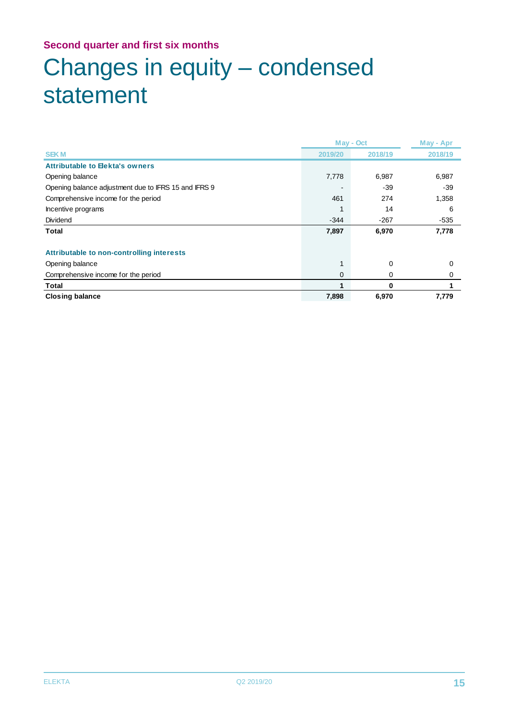## Changes in equity – condensed statement

|                                                      | May - Oct |         | May - Apr |
|------------------------------------------------------|-----------|---------|-----------|
| <b>SEKM</b>                                          | 2019/20   | 2018/19 | 2018/19   |
| <b>Attributable to Elekta's owners</b>               |           |         |           |
| Opening balance                                      | 7,778     | 6,987   | 6,987     |
| Opening balance adjustment due to IFRS 15 and IFRS 9 |           | $-39$   | $-39$     |
| Comprehensive income for the period                  | 461       | 274     | 1,358     |
| Incentive programs                                   |           | 14      | 6         |
| Dividend                                             | $-344$    | $-267$  | $-535$    |
| Total                                                | 7,897     | 6,970   | 7,778     |
|                                                      |           |         |           |
| Attributable to non-controlling interests            |           |         |           |
| Opening balance                                      |           | 0       | 0         |
| Comprehensive income for the period                  | 0         | 0       | 0         |
| Total                                                |           | 0       |           |
| <b>Closing balance</b>                               | 7,898     | 6,970   | 7,779     |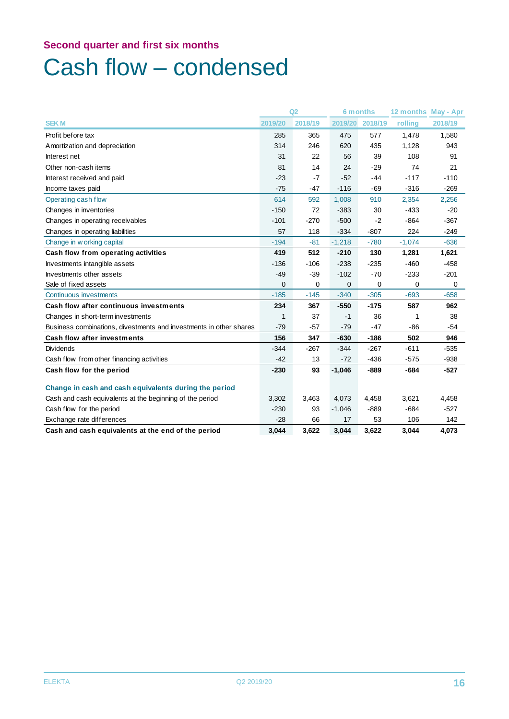### Cash flow – condensed

|                                                                    | Q2      |         | <b>6 months</b> |             | 12 months May - Apr |         |
|--------------------------------------------------------------------|---------|---------|-----------------|-------------|---------------------|---------|
| <b>SEKM</b>                                                        | 2019/20 | 2018/19 | 2019/20         | 2018/19     | rolling             | 2018/19 |
| Profit before tax                                                  | 285     | 365     | 475             | 577         | 1.478               | 1,580   |
| Amortization and depreciation                                      | 314     | 246     | 620             | 435         | 1,128               | 943     |
| Interest net                                                       | 31      | 22      | 56              | 39          | 108                 | 91      |
| Other non-cash items                                               | 81      | 14      | 24              | $-29$       | 74                  | 21      |
| Interest received and paid                                         | $-23$   | $-7$    | $-52$           | $-44$       | $-117$              | $-110$  |
| Income taxes paid                                                  | $-75$   | $-47$   | $-116$          | $-69$       | $-316$              | $-269$  |
| Operating cash flow                                                | 614     | 592     | 1,008           | 910         | 2,354               | 2,256   |
| Changes in inventories                                             | $-150$  | 72      | $-383$          | 30          | $-433$              | $-20$   |
| Changes in operating receivables                                   | $-101$  | $-270$  | $-500$          | $-2$        | $-864$              | $-367$  |
| Changes in operating liabilities                                   | 57      | 118     | $-334$          | $-807$      | 224                 | $-249$  |
| Change in w orking capital                                         | $-194$  | $-81$   | $-1,218$        | $-780$      | $-1,074$            | $-636$  |
| Cash flow from operating activities                                | 419     | 512     | $-210$          | 130         | 1,281               | 1,621   |
| Investments intangible assets                                      | $-136$  | $-106$  | $-238$          | $-235$      | $-460$              | $-458$  |
| Investments other assets                                           | $-49$   | $-39$   | $-102$          | $-70$       | $-233$              | $-201$  |
| Sale of fixed assets                                               | 0       | 0       | 0               | $\mathbf 0$ | 0                   | 0       |
| Continuous investments                                             | $-185$  | $-145$  | $-340$          | $-305$      | $-693$              | $-658$  |
| Cash flow after continuous investments                             | 234     | 367     | $-550$          | $-175$      | 587                 | 962     |
| Changes in short-term investments                                  | 1       | 37      | $-1$            | 36          | 1                   | 38      |
| Business combinations, divestments and investments in other shares | $-79$   | $-57$   | $-79$           | $-47$       | $-86$               | $-54$   |
| <b>Cash flow after investments</b>                                 | 156     | 347     | $-630$          | $-186$      | 502                 | 946     |
| <b>Dividends</b>                                                   | $-344$  | $-267$  | $-344$          | $-267$      | $-611$              | $-535$  |
| Cash flow from other financing activities                          | $-42$   | 13      | $-72$           | $-436$      | $-575$              | $-938$  |
| Cash flow for the period                                           | $-230$  | 93      | $-1,046$        | $-889$      | $-684$              | $-527$  |
| Change in cash and cash equivalents during the period              |         |         |                 |             |                     |         |
| Cash and cash equivalents at the beginning of the period           | 3,302   | 3,463   | 4,073           | 4,458       | 3,621               | 4,458   |
| Cash flow for the period                                           | $-230$  | 93      | $-1,046$        | $-889$      | $-684$              | $-527$  |
| Exchange rate differences                                          | $-28$   | 66      | 17              | 53          | 106                 | 142     |
| Cash and cash equivalents at the end of the period                 | 3,044   | 3,622   | 3,044           | 3,622       | 3,044               | 4,073   |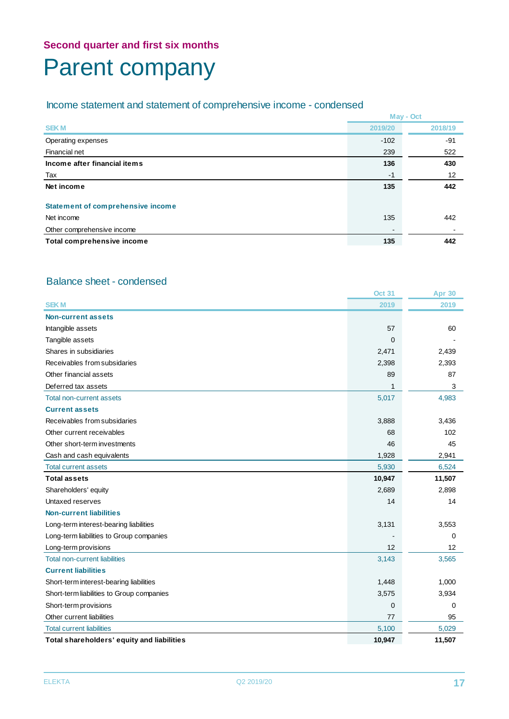### **Second quarter and first six months** Parent company

### Income statement and statement of comprehensive income - condensed

|                                          |                | May - Oct |
|------------------------------------------|----------------|-----------|
| <b>SEKM</b>                              | 2019/20        | 2018/19   |
| Operating expenses                       | $-102$         | -91       |
| Financial net                            | 239            | 522       |
| Income after financial items             | 136            | 430       |
| Tax                                      | -1             | 12        |
| Net income                               | 135            | 442       |
| <b>Statement of comprehensive income</b> |                |           |
| Net income                               | 135            | 442       |
| Other comprehensive income               | $\blacksquare$ |           |
| Total comprehensive income               | 135            | 442       |

#### Balance sheet - condensed

|                                            | <b>Oct 31</b> | <b>Apr 30</b> |
|--------------------------------------------|---------------|---------------|
| <b>SEKM</b>                                | 2019          | 2019          |
| Non-current assets                         |               |               |
| Intangible assets                          | 57            | 60            |
| Tangible assets                            | $\Omega$      |               |
| Shares in subsidiaries                     | 2,471         | 2,439         |
| Receivables from subsidaries               | 2,398         | 2,393         |
| Other financial assets                     | 89            | 87            |
| Deferred tax assets                        | 1             | 3             |
| Total non-current assets                   | 5,017         | 4,983         |
| <b>Current assets</b>                      |               |               |
| Receivables from subsidaries               | 3,888         | 3,436         |
| Other current receivables                  | 68            | 102           |
| Other short-term investments               | 46            | 45            |
| Cash and cash equivalents                  | 1,928         | 2,941         |
| <b>Total current assets</b>                | 5,930         | 6,524         |
| <b>Total assets</b>                        | 10,947        | 11,507        |
| Shareholders' equity                       | 2,689         | 2,898         |
| Untaxed reserves                           | 14            | 14            |
| <b>Non-current liabilities</b>             |               |               |
| Long-term interest-bearing liabilities     | 3,131         | 3,553         |
| Long-term liabilities to Group companies   |               | 0             |
| Long-term provisions                       | 12            | 12            |
| <b>Total non-current liabilities</b>       | 3,143         | 3,565         |
| <b>Current liabilities</b>                 |               |               |
| Short-term interest-bearing liabilities    | 1,448         | 1,000         |
| Short-term liabilities to Group companies  | 3,575         | 3,934         |
| Short-term provisions                      | 0             | 0             |
| Other current liabilities                  | 77            | 95            |
| <b>Total current liabilities</b>           | 5,100         | 5,029         |
| Total shareholders' equity and liabilities | 10,947        | 11,507        |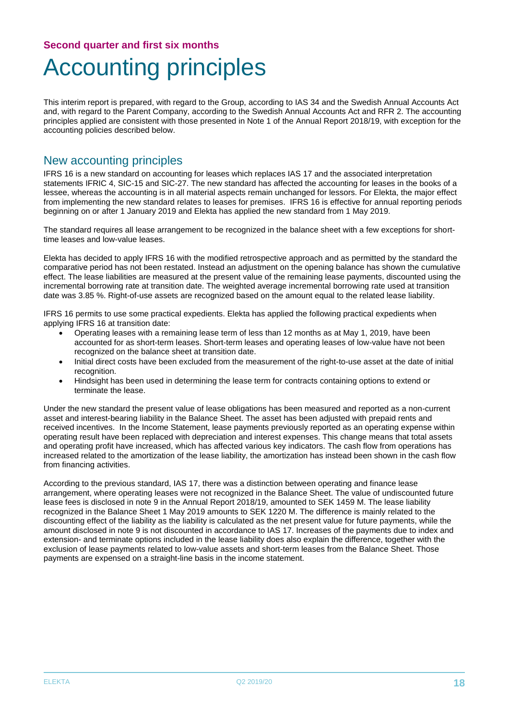## Accounting principles

This interim report is prepared, with regard to the Group, according to IAS 34 and the Swedish Annual Accounts Act and, with regard to the Parent Company, according to the Swedish Annual Accounts Act and RFR 2. The accounting principles applied are consistent with those presented in Note 1 of the Annual Report 2018/19, with exception for the accounting policies described below.

### New accounting principles

IFRS 16 is a new standard on accounting for leases which replaces IAS 17 and the associated interpretation statements IFRIC 4, SIC-15 and SIC-27. The new standard has affected the accounting for leases in the books of a lessee, whereas the accounting is in all material aspects remain unchanged for lessors. For Elekta, the major effect from implementing the new standard relates to leases for premises. IFRS 16 is effective for annual reporting periods beginning on or after 1 January 2019 and Elekta has applied the new standard from 1 May 2019.

The standard requires all lease arrangement to be recognized in the balance sheet with a few exceptions for shorttime leases and low-value leases.

Elekta has decided to apply IFRS 16 with the modified retrospective approach and as permitted by the standard the comparative period has not been restated. Instead an adjustment on the opening balance has shown the cumulative effect. The lease liabilities are measured at the present value of the remaining lease payments, discounted using the incremental borrowing rate at transition date. The weighted average incremental borrowing rate used at transition date was 3.85 %. Right-of-use assets are recognized based on the amount equal to the related lease liability.

IFRS 16 permits to use some practical expedients. Elekta has applied the following practical expedients when applying IFRS 16 at transition date:

- Operating leases with a remaining lease term of less than 12 months as at May 1, 2019, have been accounted for as short-term leases. Short-term leases and operating leases of low-value have not been recognized on the balance sheet at transition date.
- Initial direct costs have been excluded from the measurement of the right-to-use asset at the date of initial recognition.
- Hindsight has been used in determining the lease term for contracts containing options to extend or terminate the lease.

Under the new standard the present value of lease obligations has been measured and reported as a non-current asset and interest-bearing liability in the Balance Sheet. The asset has been adjusted with prepaid rents and received incentives. In the Income Statement, lease payments previously reported as an operating expense within operating result have been replaced with depreciation and interest expenses. This change means that total assets and operating profit have increased, which has affected various key indicators. The cash flow from operations has increased related to the amortization of the lease liability, the amortization has instead been shown in the cash flow from financing activities.

According to the previous standard, IAS 17, there was a distinction between operating and finance lease arrangement, where operating leases were not recognized in the Balance Sheet. The value of undiscounted future lease fees is disclosed in note 9 in the Annual Report 2018/19, amounted to SEK 1459 M. The lease liability recognized in the Balance Sheet 1 May 2019 amounts to SEK 1220 M. The difference is mainly related to the discounting effect of the liability as the liability is calculated as the net present value for future payments, while the amount disclosed in note 9 is not discounted in accordance to IAS 17. Increases of the payments due to index and extension- and terminate options included in the lease liability does also explain the difference, together with the exclusion of lease payments related to low-value assets and short-term leases from the Balance Sheet. Those payments are expensed on a straight-line basis in the income statement.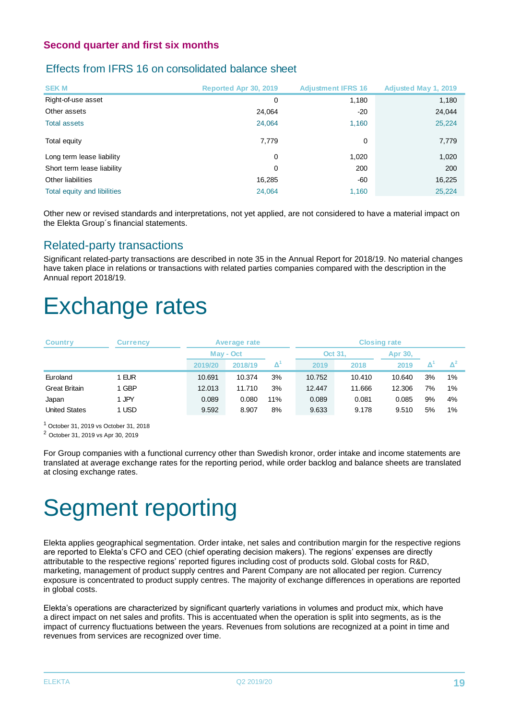### Effects from IFRS 16 on consolidated balance sheet

| <b>SEKM</b>                 | <b>Reported Apr 30, 2019</b> | <b>Adjustment IFRS 16</b> | <b>Adjusted May 1, 2019</b> |
|-----------------------------|------------------------------|---------------------------|-----------------------------|
| Right-of-use asset          | 0                            | 1,180                     | 1,180                       |
| Other assets                | 24,064                       | $-20$                     | 24,044                      |
| <b>Total assets</b>         | 24,064                       | 1,160                     | 25,224                      |
| Total equity                | 7,779                        | $\Omega$                  | 7,779                       |
| Long term lease liability   | 0                            | 1,020                     | 1,020                       |
| Short term lease liability  | $\Omega$                     | 200                       | 200                         |
| Other liabilities           | 16,285                       | -60                       | 16,225                      |
| Total equity and libilities | 24,064                       | 1,160                     | 25,224                      |

Other new or revised standards and interpretations, not yet applied, are not considered to have a material impact on the Elekta Group´s financial statements.

### Related-party transactions

Significant related-party transactions are described in note 35 in the Annual Report for 2018/19. No material changes have taken place in relations or transactions with related parties companies compared with the description in the Annual report 2018/19.

### Exchange rates

| <b>Country</b>       | Currencv |         | <b>Average rate</b> |     |         | <b>Closing rate</b> |         |    |       |
|----------------------|----------|---------|---------------------|-----|---------|---------------------|---------|----|-------|
|                      |          |         | May - Oct           |     | Oct 31, |                     | Apr 30, |    |       |
|                      |          | 2019/20 | 2018/19             | Δ   | 2019    | 2018                | 2019    |    |       |
| Euroland             | I EUR    | 10.691  | 10.374              | 3%  | 10.752  | 10.410              | 10.640  | 3% | $1\%$ |
| <b>Great Britain</b> | 1 GBP    | 12.013  | 11.710              | 3%  | 12.447  | 11.666              | 12.306  | 7% | $1\%$ |
| Japan                | 1 JPY    | 0.089   | 0.080               | 11% | 0.089   | 0.081               | 0.085   | 9% | 4%    |
| <b>United States</b> | 1 USD    | 9.592   | 8.907               | 8%  | 9.633   | 9.178               | 9.510   | 5% | $1\%$ |

 $<sup>1</sup>$  October 31, 2019 vs October 31, 2018</sup>

<sup>2</sup> October 31, 2019 vs Apr 30, 2019

For Group companies with a functional currency other than Swedish kronor, order intake and income statements are translated at average exchange rates for the reporting period, while order backlog and balance sheets are translated at closing exchange rates.

## Segment reporting

Elekta applies geographical segmentation. Order intake, net sales and contribution margin for the respective regions are reported to Elekta's CFO and CEO (chief operating decision makers). The regions' expenses are directly attributable to the respective regions' reported figures including cost of products sold. Global costs for R&D, marketing, management of product supply centres and Parent Company are not allocated per region. Currency exposure is concentrated to product supply centres. The majority of exchange differences in operations are reported in global costs.

Elekta's operations are characterized by significant quarterly variations in volumes and product mix, which have a direct impact on net sales and profits. This is accentuated when the operation is split into segments, as is the impact of currency fluctuations between the years. Revenues from solutions are recognized at a point in time and revenues from services are recognized over time.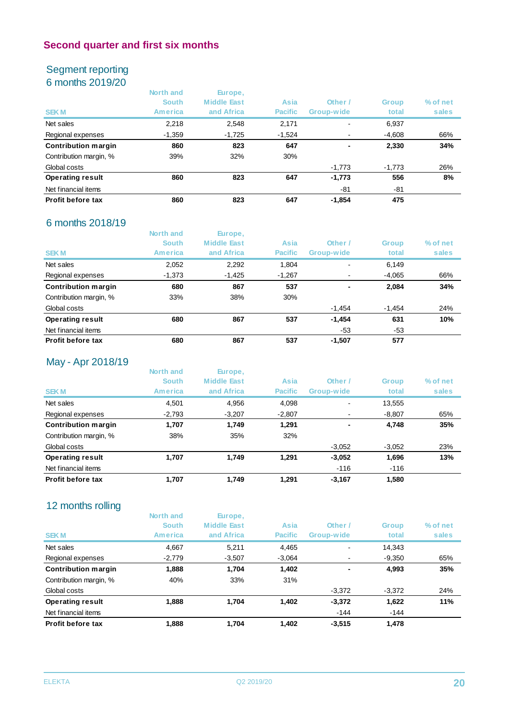### Segment reporting 6 months 2019/20

| <b>SEKM</b>                | North and<br><b>South</b><br>America | Europe,<br><b>Middle East</b><br>and Africa | Asia<br><b>Pacific</b> | Other /<br>Group-wide | <b>Group</b><br>total | % of net<br>sales |
|----------------------------|--------------------------------------|---------------------------------------------|------------------------|-----------------------|-----------------------|-------------------|
| Net sales                  | 2,218                                | 2,548                                       | 2,171                  | -                     | 6,937                 |                   |
| Regional expenses          | $-1,359$                             | $-1,725$                                    | $-1,524$               | ٠                     | $-4,608$              | 66%               |
| <b>Contribution margin</b> | 860                                  | 823                                         | 647                    | ٠                     | 2,330                 | 34%               |
| Contribution margin, %     | 39%                                  | 32%                                         | 30%                    |                       |                       |                   |
| Global costs               |                                      |                                             |                        | $-1,773$              | $-1.773$              | 26%               |
| <b>Operating result</b>    | 860                                  | 823                                         | 647                    | $-1,773$              | 556                   | 8%                |
| Net financial items        |                                      |                                             |                        | -81                   | -81                   |                   |
| Profit before tax          | 860                                  | 823                                         | 647                    | $-1.854$              | 475                   |                   |

### 6 months 2018/19

|                            | North and<br><b>South</b> | Europe,<br><b>Middle East</b> | Asia           | Other /                  | <b>Group</b> | % of net |
|----------------------------|---------------------------|-------------------------------|----------------|--------------------------|--------------|----------|
| <b>SEKM</b>                | America                   | and Africa                    | <b>Pacific</b> | Group-wide               | total        | sales    |
| Net sales                  | 2,052                     | 2,292                         | 1,804          | $\blacksquare$           | 6,149        |          |
| Regional expenses          | $-1,373$                  | $-1,425$                      | $-1,267$       | ۰                        | $-4,065$     | 66%      |
| <b>Contribution margin</b> | 680                       | 867                           | 537            | $\overline{\phantom{a}}$ | 2,084        | 34%      |
| Contribution margin, %     | 33%                       | 38%                           | 30%            |                          |              |          |
| Global costs               |                           |                               |                | $-1.454$                 | $-1,454$     | 24%      |
| <b>Operating result</b>    | 680                       | 867                           | 537            | $-1,454$                 | 631          | 10%      |
| Net financial items        |                           |                               |                | -53                      | -53          |          |
| Profit before tax          | 680                       | 867                           | 537            | $-1.507$                 | 577          |          |

### May - Apr 2018/19

| North and      | Europe,            |                |                          |              |          |
|----------------|--------------------|----------------|--------------------------|--------------|----------|
| <b>South</b>   | <b>Middle East</b> | Asia           | Other /                  | <b>Group</b> | % of net |
| <b>America</b> | and Africa         | <b>Pacific</b> | Group-wide               | total        | sales    |
| 4.501          | 4,956              | 4,098          | $\overline{\phantom{0}}$ | 13,555       |          |
| $-2,793$       | $-3,207$           | $-2,807$       | ۰                        | $-8,807$     | 65%      |
| 1,707          | 1.749              | 1,291          | ٠                        | 4,748        | 35%      |
| 38%            | 35%                | 32%            |                          |              |          |
|                |                    |                | $-3,052$                 | $-3.052$     | 23%      |
| 1,707          | 1.749              | 1.291          | $-3.052$                 | 1,696        | 13%      |
|                |                    |                | $-116$                   | $-116$       |          |
| 1,707          | 1,749              | 1.291          | $-3,167$                 | 1,580        |          |
|                |                    |                |                          |              |          |

### 12 months rolling

| 12 months rolling          |              |                    |                |                |              |          |
|----------------------------|--------------|--------------------|----------------|----------------|--------------|----------|
|                            | North and    | Europe,            |                |                |              |          |
|                            | <b>South</b> | <b>Middle East</b> | Asia           | Other /        | <b>Group</b> | % of net |
| <b>SEKM</b>                | America      | and Africa         | <b>Pacific</b> | Group-wide     | total        | sales    |
| Net sales                  | 4.667        | 5.211              | 4,465          | $\blacksquare$ | 14.343       |          |
| Regional expenses          | $-2,779$     | $-3,507$           | $-3.064$       | ۰              | $-9,350$     | 65%      |
| <b>Contribution margin</b> | 1,888        | 1.704              | 1.402          | ٠              | 4,993        | 35%      |
| Contribution margin, %     | 40%          | 33%                | 31%            |                |              |          |
| Global costs               |              |                    |                | $-3,372$       | $-3,372$     | 24%      |
| <b>Operating result</b>    | 1.888        | 1.704              | 1,402          | $-3,372$       | 1,622        | 11%      |
| Net financial items        |              |                    |                | $-144$         | -144         |          |
| Profit before tax          | 1.888        | 1.704              | 1.402          | $-3.515$       | 1,478        |          |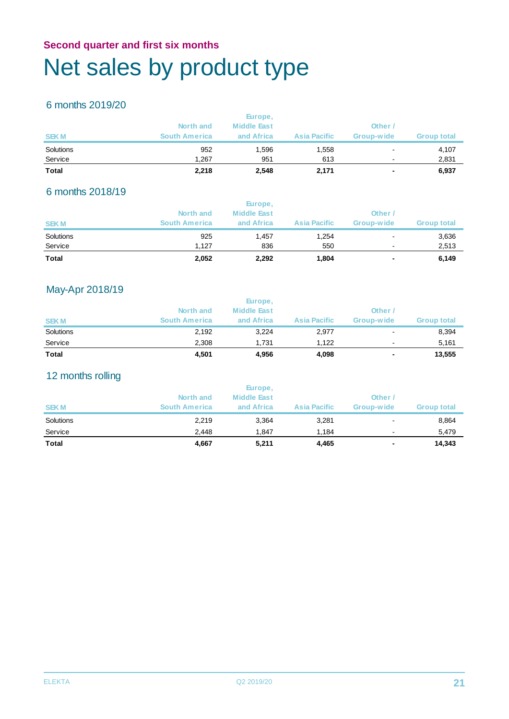### **Second quarter and first six months** Net sales by product type

### 6 months 2019/20

| <b>Total</b> | 2,218                | 2,548              | 2,171               | ۰                        | 6,937              |
|--------------|----------------------|--------------------|---------------------|--------------------------|--------------------|
| Service      | 1.267                | 951                | 613                 | $\overline{\phantom{a}}$ | 2,831              |
| Solutions    | 952                  | 1.596              | 1,558               | $\blacksquare$           | 4,107              |
| <b>SEKM</b>  | <b>South America</b> | and Africa         | <b>Asia Pacific</b> | Group-wide               | <b>Group total</b> |
|              | North and            | <b>Middle East</b> |                     | Other /                  |                    |
|              |                      | Europe,            |                     |                          |                    |

### 6 months 2018/19

| <b>Total</b> | 2,052                | 2,292              | 1,804               | ۰          | 6,149              |
|--------------|----------------------|--------------------|---------------------|------------|--------------------|
| Service      | 1.127                | 836                | 550                 |            | 2,513              |
| Solutions    | 925                  | 1.457              | 1,254               |            | 3,636              |
| <b>SEKM</b>  | <b>South America</b> | and Africa         | <b>Asia Pacific</b> | Group-wide | <b>Group total</b> |
|              | North and            | <b>Middle East</b> |                     | Other      |                    |
|              |                      | Europe,            |                     |            |                    |

### May-Apr 2018/19

| <b>Total</b> | 4.501                | 4,956              | 4,098               | ٠          | 13,555             |
|--------------|----------------------|--------------------|---------------------|------------|--------------------|
| Service      | 2.308                | 1.731              | 1.122               |            | 5,161              |
| Solutions    | 2,192                | 3,224              | 2,977               | -          | 8,394              |
| <b>SEKM</b>  | <b>South America</b> | and Africa         | <b>Asia Pacific</b> | Group-wide | <b>Group total</b> |
|              | North and            | <b>Middle East</b> |                     | Other      |                    |
|              |                      | Europe,            |                     |            |                    |

### 12 months rolling

| <b>Total</b> | 4,667                | 5,211                         | 4,465               | $\overline{\phantom{a}}$ | 14,343             |
|--------------|----------------------|-------------------------------|---------------------|--------------------------|--------------------|
| Service      | 2.448                | 1.847                         | 1,184               | $\overline{\phantom{a}}$ | 5,479              |
| Solutions    | 2,219                | 3,364                         | 3,281               | ۰                        | 8,864              |
| <b>SEKM</b>  | <b>South America</b> | and Africa                    | <b>Asia Pacific</b> | Group-wide               | <b>Group total</b> |
|              | North and            | Europe,<br><b>Middle East</b> |                     | Other /                  |                    |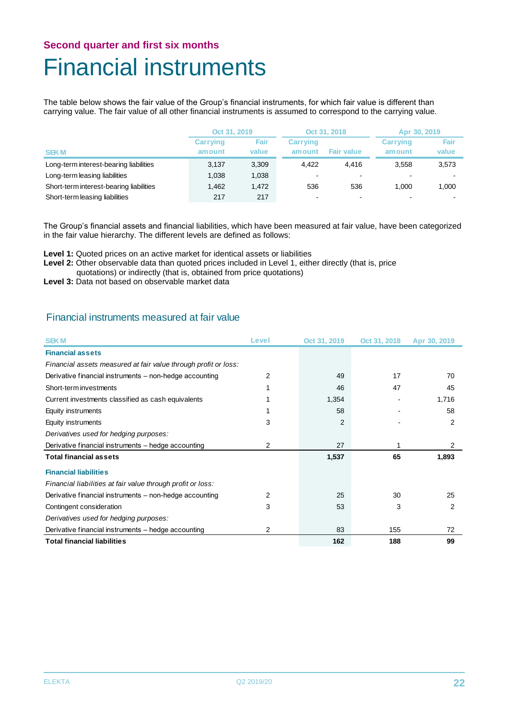### **Second quarter and first six months** Financial instruments

The table below shows the fair value of the Group's financial instruments, for which fair value is different than carrying value. The fair value of all other financial instruments is assumed to correspond to the carrying value.

|                                         | Oct 31, 2019              |                      |                            | Oct 31, 2018      | Apr 30, 2019              |               |
|-----------------------------------------|---------------------------|----------------------|----------------------------|-------------------|---------------------------|---------------|
| <b>SEKM</b>                             | <b>Carrying</b><br>amount | <b>Fair</b><br>value | <b>Carrying</b><br>am ount | <b>Fair value</b> | <b>Carrying</b><br>amount | Fair<br>value |
| Long-term interest-bearing liabilities  | 3,137                     | 3,309                | 4.422                      | 4.416             | 3,558                     | 3,573         |
| Long-term leasing liabilities           | 1,038                     | 1,038                | $\overline{\phantom{0}}$   | ۰                 |                           |               |
| Short-term interest-bearing liabilities | 1.462                     | 1,472                | 536                        | 536               | 1.000                     | 1.000         |
| Short-term leasing liabilities          | 217                       | 217                  |                            | $\blacksquare$    |                           |               |

The Group's financial assets and financial liabilities, which have been measured at fair value, have been categorized in the fair value hierarchy. The different levels are defined as follows:

- **Level 1:** Quoted prices on an active market for identical assets or liabilities
- Level 2: Other observable data than quoted prices included in Level 1, either directly (that is, price
	- quotations) or indirectly (that is, obtained from price quotations)
- **Level 3:** Data not based on observable market data

#### Financial instruments measured at fair value

| <b>SEKM</b>                                                     | Level | Oct 31, 2019   | Oct 31, 2018 | Apr 30, 2019   |
|-----------------------------------------------------------------|-------|----------------|--------------|----------------|
| <b>Financial assets</b>                                         |       |                |              |                |
| Financial assets measured at fair value through profit or loss: |       |                |              |                |
| Derivative financial instruments – non-hedge accounting         | 2     | 49             | 17           | 70             |
| Short-term investments                                          |       | 46             | 47           | 45             |
| Current investments classified as cash equivalents              |       | 1,354          |              | 1,716          |
| Equity instruments                                              |       | 58             |              | 58             |
| Equity instruments                                              | 3     | $\overline{2}$ |              | $\overline{2}$ |
| Derivatives used for hedging purposes:                          |       |                |              |                |
| Derivative financial instruments - hedge accounting             | 2     | 27             |              | 2              |
| <b>Total financial assets</b>                                   |       | 1,537          | 65           | 1,893          |
| <b>Financial liabilities</b>                                    |       |                |              |                |
| Financial liabilities at fair value through profit or loss:     |       |                |              |                |
| Derivative financial instruments - non-hedge accounting         | 2     | 25             | 30           | 25             |
| Contingent consideration                                        | 3     | 53             | 3            | 2              |
| Derivatives used for hedging purposes:                          |       |                |              |                |
| Derivative financial instruments - hedge accounting             | 2     | 83             | 155          | 72             |
| Total financial liabilities                                     |       | 162            | 188          | 99             |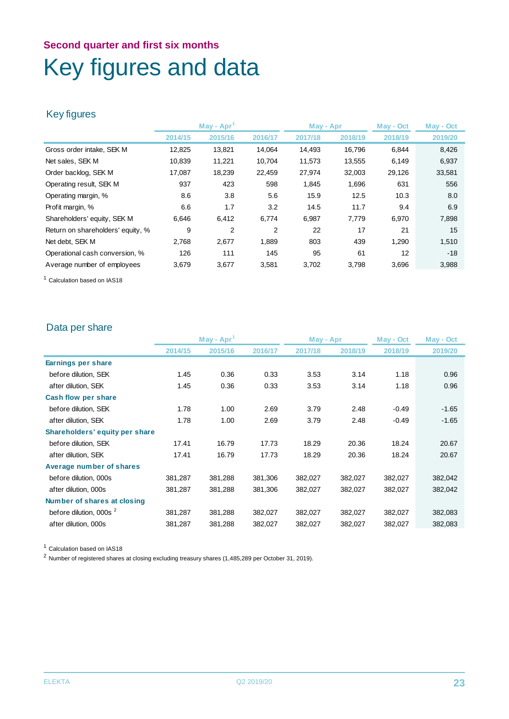### **Second quarter and first six months** Key figures and data

### Key figures

|                                   | $May - Apr1$ |         | May - Apr |         | May - Oct | May - Oct |         |
|-----------------------------------|--------------|---------|-----------|---------|-----------|-----------|---------|
|                                   | 2014/15      | 2015/16 | 2016/17   | 2017/18 | 2018/19   | 2018/19   | 2019/20 |
| Gross order intake, SEK M         | 12,825       | 13,821  | 14.064    | 14,493  | 16.796    | 6,844     | 8,426   |
| Net sales, SEK M                  | 10,839       | 11,221  | 10,704    | 11,573  | 13,555    | 6,149     | 6,937   |
| Order backlog, SEK M              | 17,087       | 18,239  | 22,459    | 27,974  | 32,003    | 29,126    | 33,581  |
| Operating result, SEK M           | 937          | 423     | 598       | 1,845   | 1,696     | 631       | 556     |
| Operating margin, %               | 8.6          | 3.8     | 5.6       | 15.9    | 12.5      | 10.3      | 8.0     |
| Profit margin, %                  | 6.6          | 1.7     | 3.2       | 14.5    | 11.7      | 9.4       | 6.9     |
| Shareholders' equity, SEK M       | 6,646        | 6,412   | 6,774     | 6,987   | 7,779     | 6,970     | 7,898   |
| Return on shareholders' equity, % | 9            | 2       | 2         | 22      | 17        | 21        | 15      |
| Net debt, SEK M                   | 2,768        | 2,677   | 1,889     | 803     | 439       | 1,290     | 1,510   |
| Operational cash conversion, %    | 126          | 111     | 145       | 95      | 61        | 12        | $-18$   |
| Average number of employees       | 3,679        | 3,677   | 3,581     | 3,702   | 3,798     | 3,696     | 3,988   |

<sup>1</sup> Calculation based on IAS18

### Data per share

|                                |         | $May - Apr1$ |         | May - Apr |         | May - Oct | May - Oct |
|--------------------------------|---------|--------------|---------|-----------|---------|-----------|-----------|
|                                | 2014/15 | 2015/16      | 2016/17 | 2017/18   | 2018/19 | 2018/19   | 2019/20   |
| Earnings per share             |         |              |         |           |         |           |           |
| before dilution, SEK           | 1.45    | 0.36         | 0.33    | 3.53      | 3.14    | 1.18      | 0.96      |
| after dilution, SEK            | 1.45    | 0.36         | 0.33    | 3.53      | 3.14    | 1.18      | 0.96      |
| <b>Cash flow per share</b>     |         |              |         |           |         |           |           |
| before dilution, SEK           | 1.78    | 1.00         | 2.69    | 3.79      | 2.48    | $-0.49$   | $-1.65$   |
| after dilution, SEK            | 1.78    | 1.00         | 2.69    | 3.79      | 2.48    | $-0.49$   | $-1.65$   |
| Shareholders' equity per share |         |              |         |           |         |           |           |
| before dilution, SEK           | 17.41   | 16.79        | 17.73   | 18.29     | 20.36   | 18.24     | 20.67     |
| after dilution, SEK            | 17.41   | 16.79        | 17.73   | 18.29     | 20.36   | 18.24     | 20.67     |
| Average number of shares       |         |              |         |           |         |           |           |
| before dilution, 000s          | 381,287 | 381,288      | 381,306 | 382,027   | 382,027 | 382,027   | 382,042   |
| after dilution, 000s           | 381,287 | 381,288      | 381,306 | 382,027   | 382,027 | 382,027   | 382,042   |
| Number of shares at closing    |         |              |         |           |         |           |           |
| before dilution, 000s 2        | 381,287 | 381,288      | 382,027 | 382,027   | 382,027 | 382,027   | 382,083   |
| after dilution, 000s           | 381,287 | 381,288      | 382,027 | 382,027   | 382,027 | 382,027   | 382,083   |
|                                |         |              |         |           |         |           |           |

<sup>1</sup> Calculation based on IAS18

<sup>2</sup> Number of registered shares at closing excluding treasury shares (1,485,289 per October 31, 2019).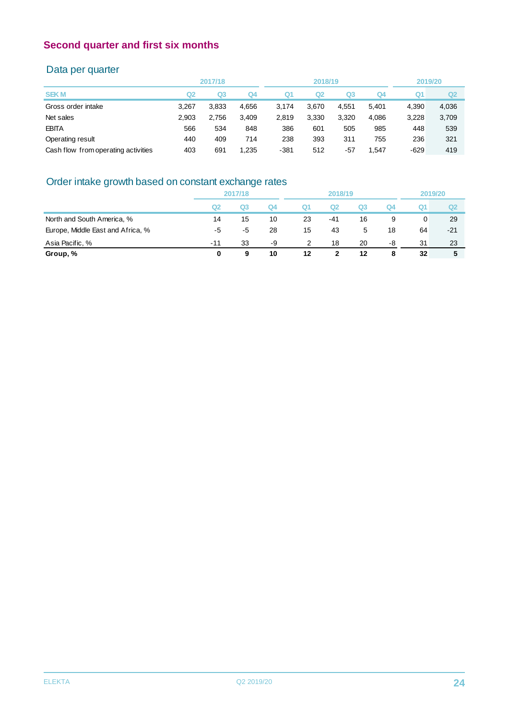### Data per quarter

|                                     |       | 2017/18        |                |                | 2018/19 |       |       | 2019/20 |       |
|-------------------------------------|-------|----------------|----------------|----------------|---------|-------|-------|---------|-------|
| <b>SEKM</b>                         | Q2    | Q <sub>3</sub> | Q <sub>4</sub> | Q <sub>1</sub> | Q2      | Q3    | Q4    | Q1      | Q2    |
| Gross order intake                  | 3.267 | 3,833          | 4,656          | 3.174          | 3.670   | 4,551 | 5,401 | 4.390   | 4,036 |
| Net sales                           | 2.903 | 2,756          | 3,409          | 2,819          | 3,330   | 3,320 | 4,086 | 3.228   | 3,709 |
| <b>EBITA</b>                        | 566   | 534            | 848            | 386            | 601     | 505   | 985   | 448     | 539   |
| Operating result                    | 440   | 409            | 714            | 238            | 393     | 311   | 755   | 236     | 321   |
| Cash flow from operating activities | 403   | 691            | 1,235          | $-381$         | 512     | $-57$ | 1.547 | $-629$  | 419   |
|                                     |       |                |                |                |         |       |       |         |       |

### Order intake growth based on constant exchange rates

|                                   | 2017/18        |             |    | 2018/19       |     |    |    | 2019/20 |       |
|-----------------------------------|----------------|-------------|----|---------------|-----|----|----|---------|-------|
|                                   | Q <sub>2</sub> | $_{\alpha}$ | Q4 | Q1            | Q2  | Q3 | Q4 | Q1      | Ω2    |
| North and South America, %        | 14             | 15          | 10 | 23            | -41 | 16 | 9  | 0       | -29   |
| Europe, Middle East and Africa, % | -5             | -5          | 28 | 15            | 43  | 5  | 18 | 64      | $-21$ |
| Asia Pacific, %                   | $-11$          | 33          | -9 | $\mathcal{P}$ | 18  | 20 | -8 | 31      | 23    |
| Group, %                          | 0              | 9           | 10 | 12            |     | 12 | 8  | 32      | 5     |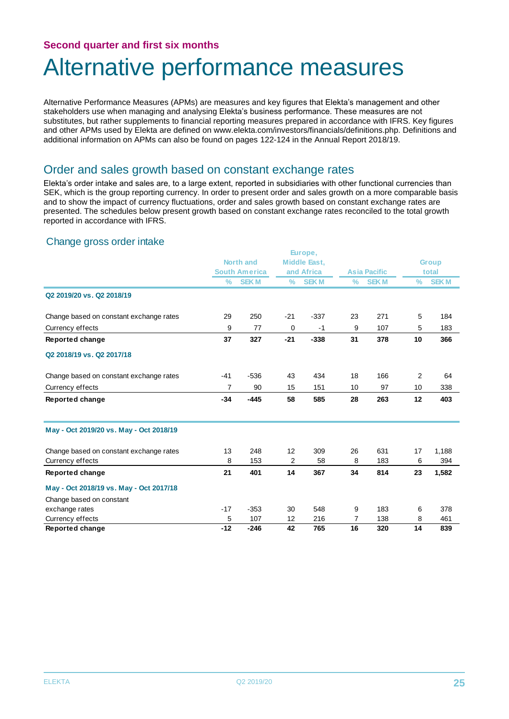### Alternative performance measures

Alternative Performance Measures (APMs) are measures and key figures that Elekta's management and other stakeholders use when managing and analysing Elekta's business performance. These measures are not substitutes, but rather supplements to financial reporting measures prepared in accordance with IFRS. Key figures and other APMs used by Elekta are defined on www.elekta.com/investors/financials/definitions.php. Definitions and additional information on APMs can also be found on pages 122-124 in the Annual Report 2018/19.

### Order and sales growth based on constant exchange rates

Elekta's order intake and sales are, to a large extent, reported in subsidiaries with other functional currencies than SEK, which is the group reporting currency. In order to present order and sales growth on a more comparable basis and to show the impact of currency fluctuations, order and sales growth based on constant exchange rates are presented. The schedules below present growth based on constant exchange rates reconciled to the total growth reported in accordance with IFRS.

#### Change gross order intake

|                                         |               |                      |               | Europe,             |      |                     |      |              |
|-----------------------------------------|---------------|----------------------|---------------|---------------------|------|---------------------|------|--------------|
|                                         | North and     |                      |               | <b>Middle East,</b> |      |                     |      | <b>Group</b> |
|                                         |               | <b>South America</b> |               | and Africa          |      | <b>Asia Pacific</b> |      | total        |
|                                         | $\frac{9}{6}$ | <b>SEKM</b>          | $\frac{9}{6}$ | <b>SEKM</b>         | $\%$ | <b>SEKM</b>         | $\%$ | <b>SEKM</b>  |
| Q2 2019/20 vs. Q2 2018/19               |               |                      |               |                     |      |                     |      |              |
| Change based on constant exchange rates | 29            | 250                  | $-21$         | $-337$              | 23   | 271                 | 5    | 184          |
| Currency effects                        | 9             | 77                   | 0             | $-1$                | 9    | 107                 | 5    | 183          |
| Reported change                         | 37            | 327                  | $-21$         | $-338$              | 31   | 378                 | 10   | 366          |
| Q2 2018/19 vs. Q2 2017/18               |               |                      |               |                     |      |                     |      |              |
| Change based on constant exchange rates | $-41$         | $-536$               | 43            | 434                 | 18   | 166                 | 2    | 64           |
| Currency effects                        | 7             | 90                   | 15            | 151                 | 10   | 97                  | 10   | 338          |
| Reported change                         | $-34$         | $-445$               | 58            | 585                 | 28   | 263                 | 12   | 403          |
| May - Oct 2019/20 vs. May - Oct 2018/19 |               |                      |               |                     |      |                     |      |              |
| Change based on constant exchange rates | 13            | 248                  | 12            | 309                 | 26   | 631                 | 17   | 1,188        |
| Currency effects                        | 8             | 153                  | 2             | 58                  | 8    | 183                 | 6    | 394          |
| Reported change                         | 21            | 401                  | 14            | 367                 | 34   | 814                 | 23   | 1,582        |
| May - Oct 2018/19 vs. May - Oct 2017/18 |               |                      |               |                     |      |                     |      |              |
| Change based on constant                |               |                      |               |                     |      |                     |      |              |
| exchange rates                          | $-17$         | $-353$               | 30            | 548                 | 9    | 183                 | 6    | 378          |
| Currency effects                        | 5             | 107                  | 12            | 216                 | 7    | 138                 | 8    | 461          |
| Reported change                         | $-12$         | $-246$               | 42            | 765                 | 16   | 320                 | 14   | 839          |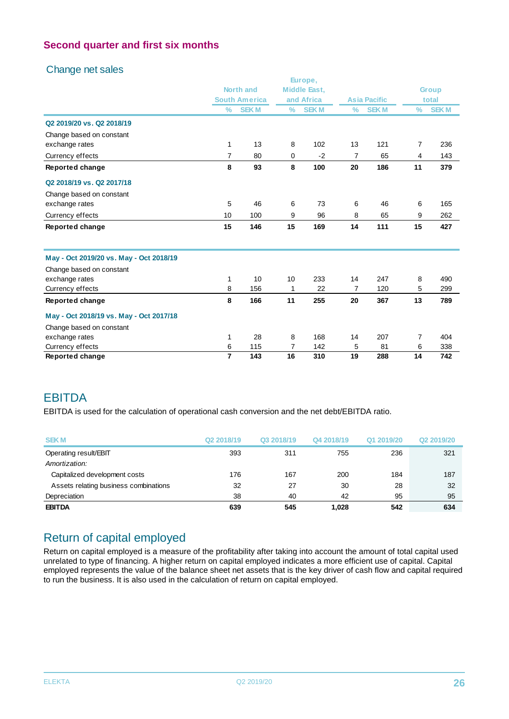### Change net sales

|                                         |                |                      |               | Europe,             |                |                     |                |              |
|-----------------------------------------|----------------|----------------------|---------------|---------------------|----------------|---------------------|----------------|--------------|
|                                         |                | <b>North and</b>     |               | <b>Middle East,</b> |                |                     |                | <b>Group</b> |
|                                         |                | <b>South America</b> |               | and Africa          |                | <b>Asia Pacific</b> |                | total        |
|                                         | $\frac{0}{0}$  | <b>SEKM</b>          | $\frac{9}{6}$ | <b>SEKM</b>         | $\frac{9}{6}$  | <b>SEKM</b>         | $\frac{0}{0}$  | <b>SEKM</b>  |
| Q2 2019/20 vs. Q2 2018/19               |                |                      |               |                     |                |                     |                |              |
| Change based on constant                |                |                      |               |                     |                |                     |                |              |
| exchange rates                          | $\mathbf{1}$   | 13                   | 8             | 102                 | 13             | 121                 | $\overline{7}$ | 236          |
| Currency effects                        | $\overline{7}$ | 80                   | 0             | $-2$                | $\overline{7}$ | 65                  | 4              | 143          |
| Reported change                         | 8              | 93                   | 8             | 100                 | 20             | 186                 | 11             | 379          |
| Q2 2018/19 vs. Q2 2017/18               |                |                      |               |                     |                |                     |                |              |
| Change based on constant                |                |                      |               |                     |                |                     |                |              |
| exchange rates                          | 5              | 46                   | 6             | 73                  | 6              | 46                  | 6              | 165          |
| Currency effects                        | 10             | 100                  | 9             | 96                  | 8              | 65                  | 9              | 262          |
| Reported change                         | 15             | 146                  | 15            | 169                 | 14             | 111                 | 15             | 427          |
| May - Oct 2019/20 vs. May - Oct 2018/19 |                |                      |               |                     |                |                     |                |              |
| Change based on constant                |                |                      |               |                     |                |                     |                |              |
| exchange rates                          | 1              | 10                   | 10            | 233                 | 14             | 247                 | 8              | 490          |
| Currency effects                        | 8              | 156                  | 1             | 22                  | $\overline{7}$ | 120                 | 5              | 299          |
| Reported change                         | 8              | 166                  | 11            | 255                 | 20             | 367                 | 13             | 789          |
| May - Oct 2018/19 vs. May - Oct 2017/18 |                |                      |               |                     |                |                     |                |              |
| Change based on constant                |                |                      |               |                     |                |                     |                |              |
| exchange rates                          | 1              | 28                   | 8             | 168                 | 14             | 207                 | $\overline{7}$ | 404          |
| Currency effects                        | 6              | 115                  | 7             | 142                 | 5              | 81                  | 6              | 338          |
| <b>Reported change</b>                  | 7              | 143                  | 16            | 310                 | 19             | 288                 | 14             | 742          |

### **EBITDA**

EBITDA is used for the calculation of operational cash conversion and the net debt/EBITDA ratio.

| <b>SEKM</b>                           | Q <sub>2</sub> 2018/19 | Q3 2018/19 | Q4 2018/19 | Q1 2019/20 | Q <sub>2</sub> 2019/20 |
|---------------------------------------|------------------------|------------|------------|------------|------------------------|
| Operating result/EBIT                 | 393                    | 311        | 755        | 236        | 321                    |
| Amortization:                         |                        |            |            |            |                        |
| Capitalized development costs         | 176                    | 167        | 200        | 184        | 187                    |
| Assets relating business combinations | 32                     | 27         | 30         | 28         | 32                     |
| Depreciation                          | 38                     | 40         | 42         | 95         | 95                     |
| <b>EBITDA</b>                         | 639                    | 545        | 1.028      | 542        | 634                    |

### Return of capital employed

Return on capital employed is a measure of the profitability after taking into account the amount of total capital used unrelated to type of financing. A higher return on capital employed indicates a more efficient use of capital. Capital employed represents the value of the balance sheet net assets that is the key driver of cash flow and capital required to run the business. It is also used in the calculation of return on capital employed.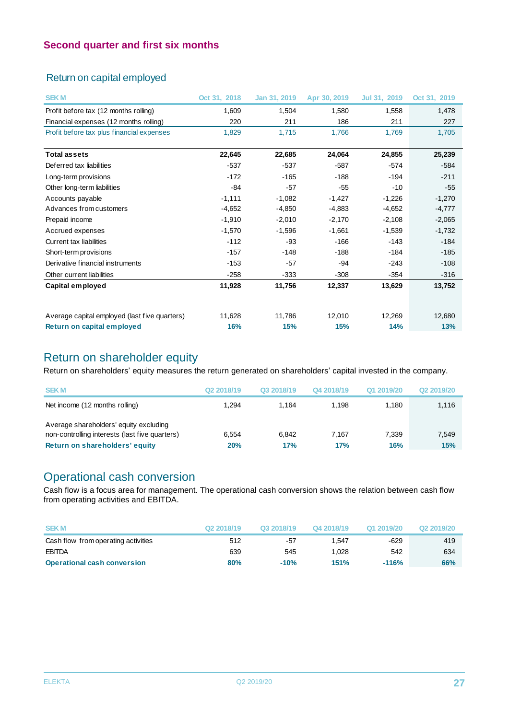### Return on capital employed

| <b>SEKM</b>                                   | Oct 31, 2018 | Jan 31, 2019 | Apr 30, 2019 | Jul 31, 2019 | Oct 31, 2019 |
|-----------------------------------------------|--------------|--------------|--------------|--------------|--------------|
| Profit before tax (12 months rolling)         | 1,609        | 1,504        | 1,580        | 1,558        | 1,478        |
| Financial expenses (12 months rolling)        | 220          | 211          | 186          | 211          | 227          |
| Profit before tax plus financial expenses     | 1,829        | 1,715        | 1,766        | 1.769        | 1,705        |
|                                               |              |              |              |              |              |
| <b>Total assets</b>                           | 22,645       | 22,685       | 24,064       | 24,855       | 25,239       |
| Deferred tax liabilities                      | $-537$       | $-537$       | $-587$       | $-574$       | $-584$       |
| Long-term provisions                          | $-172$       | $-165$       | $-188$       | $-194$       | $-211$       |
| Other long-term liabilities                   | $-84$        | $-57$        | $-55$        | $-10$        | $-55$        |
| Accounts payable                              | $-1,111$     | $-1,082$     | $-1,427$     | $-1,226$     | $-1,270$     |
| Advances from customers                       | $-4,652$     | $-4,850$     | $-4,883$     | $-4,652$     | $-4,777$     |
| Prepaid income                                | $-1,910$     | $-2,010$     | $-2,170$     | $-2,108$     | $-2,065$     |
| Accrued expenses                              | $-1,570$     | $-1,596$     | $-1,661$     | $-1,539$     | $-1,732$     |
| Current tax liabilities                       | $-112$       | $-93$        | $-166$       | $-143$       | $-184$       |
| Short-term provisions                         | $-157$       | $-148$       | $-188$       | $-184$       | $-185$       |
| Derivative financial instruments              | $-153$       | $-57$        | $-94$        | $-243$       | $-108$       |
| Other current liabilities                     | $-258$       | $-333$       | $-308$       | $-354$       | $-316$       |
| Capital employed                              | 11,928       | 11,756       | 12,337       | 13,629       | 13,752       |
|                                               |              |              |              |              |              |
| Average capital employed (last five quarters) | 11,628       | 11,786       | 12,010       | 12,269       | 12,680       |
| Return on capital employed                    | 16%          | 15%          | 15%          | 14%          | 13%          |

### Return on shareholder equity

Return on shareholders' equity measures the return generated on shareholders' capital invested in the company.

| <b>SEKM</b>                                    | Q <sub>2</sub> 2018/19 | Q3 2018/19 | Q4 2018/19 | Q1 2019/20 | Q <sub>2</sub> 2019/20 |
|------------------------------------------------|------------------------|------------|------------|------------|------------------------|
| Net income (12 months rolling)                 | 1.294                  | 1.164      | 1.198      | 1.180      | 1,116                  |
| Average shareholders' equity excluding         |                        |            |            |            |                        |
| non-controlling interests (last five quarters) | 6.554                  | 6.842      | 7.167      | 7.339      | 7,549                  |
| Return on shareholders' equity                 | 20%                    | 17%        | 17%        | 16%        | 15%                    |

### Operational cash conversion

Cash flow is a focus area for management. The operational cash conversion shows the relation between cash flow from operating activities and EBITDA.

| <b>SEKM</b>                         | Q <sub>2</sub> 2018/19 | Q3 2018/19 | Q4 2018/19 | Q1 2019/20 | Q <sub>2</sub> 2019/20 |
|-------------------------------------|------------------------|------------|------------|------------|------------------------|
| Cash flow from operating activities | 512                    | -57        | 1.547      | $-629$     | 419                    |
| <b>EBITDA</b>                       | 639                    | 545        | 1.028      | 542        | 634                    |
| <b>Operational cash conversion</b>  | 80%                    | $-10%$     | 151%       | $-116%$    | 66%                    |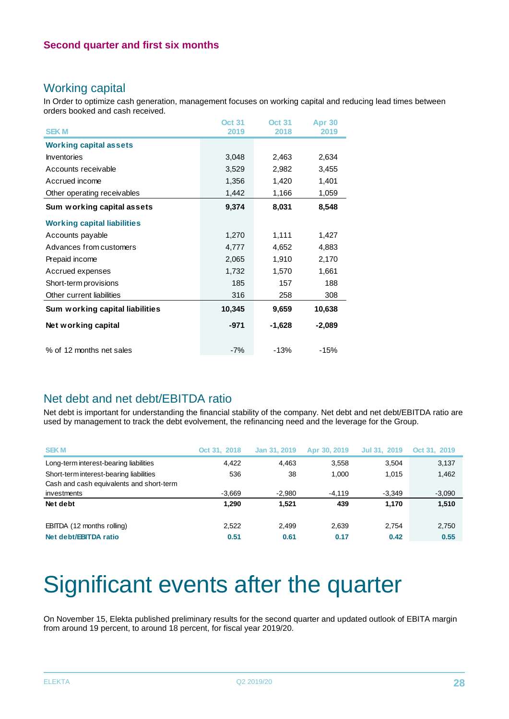### Working capital

In Order to optimize cash generation, management focuses on working capital and reducing lead times between orders booked and cash received.

| <b>SEKM</b>                        | <b>Oct 31</b><br>2019 | <b>Oct 31</b><br>2018 | <b>Apr 30</b><br>2019 |
|------------------------------------|-----------------------|-----------------------|-----------------------|
| <b>Working capital assets</b>      |                       |                       |                       |
| <b>Inventories</b>                 | 3,048                 | 2,463                 | 2,634                 |
| Accounts receivable                | 3,529                 | 2,982                 | 3,455                 |
| Accrued income                     | 1,356                 | 1,420                 | 1,401                 |
| Other operating receivables        | 1,442                 | 1,166                 | 1,059                 |
| Sum working capital assets         | 9,374                 | 8,031                 | 8,548                 |
| <b>Working capital liabilities</b> |                       |                       |                       |
| Accounts payable                   | 1,270                 | 1,111                 | 1,427                 |
| Advances from customers            | 4,777                 | 4,652                 | 4,883                 |
| Prepaid income                     | 2,065                 | 1,910                 | 2,170                 |
| Accrued expenses                   | 1,732                 | 1,570                 | 1,661                 |
| Short-term provisions              | 185                   | 157                   | 188                   |
| Other current liabilities          | 316                   | 258                   | 308                   |
| Sum working capital liabilities    | 10,345                | 9,659                 | 10,638                |
| Net working capital                | $-971$                | $-1,628$              | $-2,089$              |
| % of 12 months net sales           | $-7%$                 | $-13%$                | $-15%$                |

### Net debt and net debt/EBITDA ratio

Net debt is important for understanding the financial stability of the company. Net debt and net debt/EBITDA ratio are used by management to track the debt evolvement, the refinancing need and the leverage for the Group.

| <b>SEKM</b>                              | Oct 31, 2018 | Jan 31, 2019 | Apr 30, 2019 | Jul 31, 2019 | Oct 31, 2019 |
|------------------------------------------|--------------|--------------|--------------|--------------|--------------|
| Long-term interest-bearing liabilities   | 4.422        | 4.463        | 3,558        | 3.504        | 3,137        |
| Short-term interest-bearing liabilities  | 536          | 38           | 1.000        | 1.015        | 1,462        |
| Cash and cash equivalents and short-term |              |              |              |              |              |
| investments                              | $-3,669$     | $-2,980$     | $-4,119$     | $-3,349$     | $-3,090$     |
| Net debt                                 | 1.290        | 1.521        | 439          | 1.170        | 1,510        |
| EBITDA (12 months rolling)               | 2.522        | 2.499        | 2,639        | 2.754        | 2,750        |
| Net debt/EBITDA ratio                    | 0.51         | 0.61         | 0.17         | 0.42         | 0.55         |

## Significant events after the quarter

On November 15, Elekta published preliminary results for the second quarter and updated outlook of EBITA margin from around 19 percent, to around 18 percent, for fiscal year 2019/20.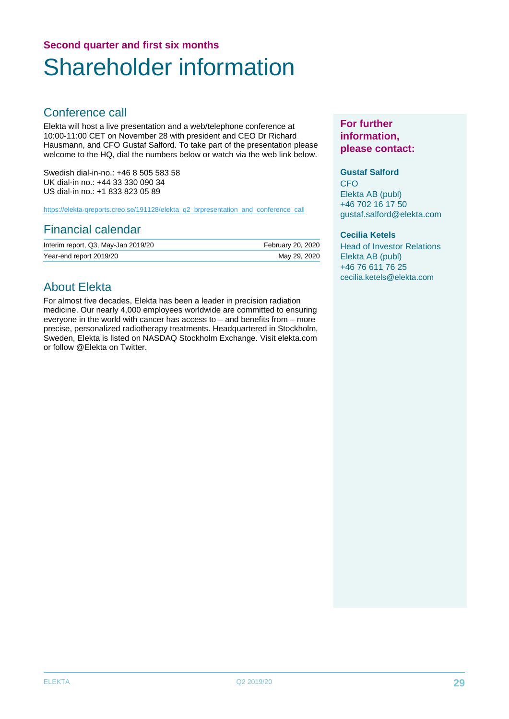### **Second quarter and first six months** Shareholder information

### Conference call

Elekta will host a live presentation and a web/telephone conference at 10:00-11:00 CET on November 28 with president and CEO Dr Richard Hausmann, and CFO Gustaf Salford. To take part of the presentation please welcome to the HQ, dial the numbers below or watch via the web link below.

Swedish dial-in-no.: +46 8 505 583 58 UK dial-in no.: +44 33 330 090 34 US dial-in no.: +1 833 823 05 89

[https://elekta-qreports.creo.se/191128/elekta\\_q2\\_brpresentation\\_and\\_conference\\_call](https://protect-eu.mimecast.com/s/L42zC0L0oc2zmMGFwOItA?domain=elekta-qreports.creo.se)

### Financial calendar

| Interim report, Q3, May-Jan 2019/20 | February 20, 2020 |
|-------------------------------------|-------------------|
| Year-end report 2019/20             | May 29, 2020      |

### About Elekta

For almost five decades, Elekta has been a leader in precision radiation medicine. Our nearly 4,000 employees worldwide are committed to ensuring everyone in the world with cancer has access to – and benefits from – more precise, personalized radiotherapy treatments. Headquartered in Stockholm, Sweden, Elekta is listed on NASDAQ Stockholm Exchange. Visit elekta.com or follow @Elekta on Twitter.

### **For further information, please contact:**

### **Gustaf Salford**

CFO Elekta AB (publ) +46 702 16 17 50 gustaf.salford@elekta.com

#### **Cecilia Ketels**

Head of Investor Relations Elekta AB (publ) +46 76 611 76 25 [cecilia.ketels@elekta.com](mailto:cecilia.ketels@elekta.com)